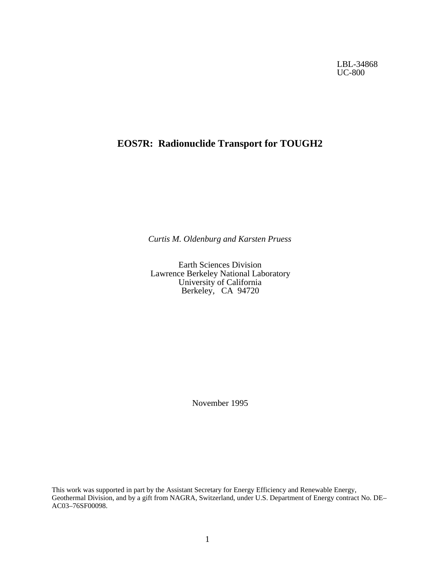LBL-34868 UC-800

# **EOS7R: Radionuclide Transport for TOUGH2**

*Curtis M. Oldenburg and Karsten Pruess*

Earth Sciences Division Lawrence Berkeley National Laboratory University of California Berkeley, CA 94720

November 1995

This work was supported in part by the Assistant Secretary for Energy Efficiency and Renewable Energy, Geothermal Division, and by a gift from NAGRA, Switzerland, under U.S. Department of Energy contract No. DE– AC03–76SF00098.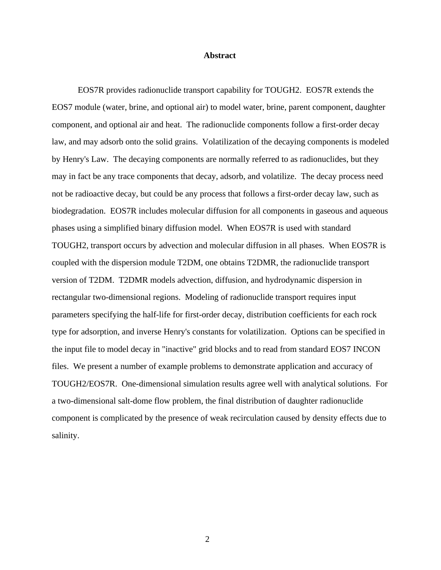# **Abstract**

EOS7R provides radionuclide transport capability for TOUGH2. EOS7R extends the EOS7 module (water, brine, and optional air) to model water, brine, parent component, daughter component, and optional air and heat. The radionuclide components follow a first-order decay law, and may adsorb onto the solid grains. Volatilization of the decaying components is modeled by Henry's Law. The decaying components are normally referred to as radionuclides, but they may in fact be any trace components that decay, adsorb, and volatilize. The decay process need not be radioactive decay, but could be any process that follows a first-order decay law, such as biodegradation. EOS7R includes molecular diffusion for all components in gaseous and aqueous phases using a simplified binary diffusion model. When EOS7R is used with standard TOUGH2, transport occurs by advection and molecular diffusion in all phases. When EOS7R is coupled with the dispersion module T2DM, one obtains T2DMR, the radionuclide transport version of T2DM. T2DMR models advection, diffusion, and hydrodynamic dispersion in rectangular two-dimensional regions. Modeling of radionuclide transport requires input parameters specifying the half-life for first-order decay, distribution coefficients for each rock type for adsorption, and inverse Henry's constants for volatilization. Options can be specified in the input file to model decay in "inactive" grid blocks and to read from standard EOS7 INCON files. We present a number of example problems to demonstrate application and accuracy of TOUGH2/EOS7R. One-dimensional simulation results agree well with analytical solutions. For a two-dimensional salt-dome flow problem, the final distribution of daughter radionuclide component is complicated by the presence of weak recirculation caused by density effects due to salinity.

2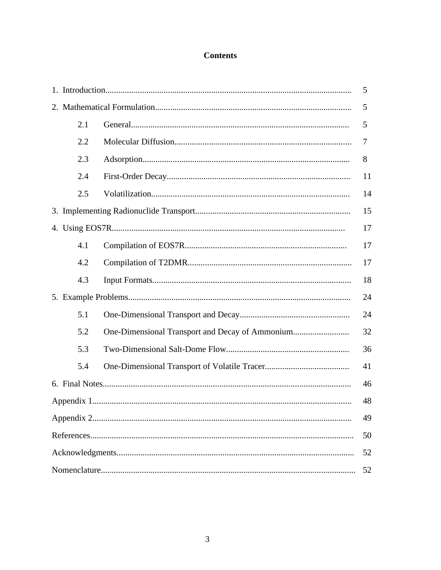# **Contents**

| 5   |  |    |  |  |
|-----|--|----|--|--|
|     |  | 5  |  |  |
| 2.1 |  | 5  |  |  |
| 2.2 |  | 7  |  |  |
| 2.3 |  | 8  |  |  |
| 2.4 |  | 11 |  |  |
| 2.5 |  | 14 |  |  |
|     |  | 15 |  |  |
|     |  | 17 |  |  |
| 4.1 |  | 17 |  |  |
| 4.2 |  | 17 |  |  |
| 4.3 |  | 18 |  |  |
|     |  | 24 |  |  |
| 5.1 |  | 24 |  |  |
| 5.2 |  | 32 |  |  |
| 5.3 |  | 36 |  |  |
| 5.4 |  | 41 |  |  |
|     |  | 46 |  |  |
| 48  |  |    |  |  |
|     |  | 49 |  |  |
| 50  |  |    |  |  |
| 52  |  |    |  |  |
| 52  |  |    |  |  |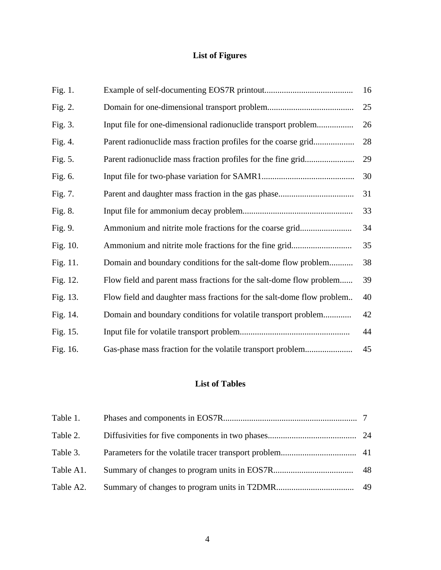# **List of Figures**

| Fig. 1.    |                                                                       | 16 |
|------------|-----------------------------------------------------------------------|----|
| Fig. 2.    |                                                                       | 25 |
| Fig. 3.    | Input file for one-dimensional radionuclide transport problem         | 26 |
| Fig. $4$ . | Parent radionuclide mass fraction profiles for the coarse grid        | 28 |
| Fig. 5.    |                                                                       | 29 |
| Fig. 6.    |                                                                       | 30 |
| Fig. 7.    |                                                                       | 31 |
| Fig. 8.    |                                                                       | 33 |
| Fig. 9.    | Ammonium and nitrite mole fractions for the coarse grid               | 34 |
| Fig. 10.   |                                                                       | 35 |
| Fig. 11.   | Domain and boundary conditions for the salt-dome flow problem         | 38 |
| Fig. 12.   | Flow field and parent mass fractions for the salt-dome flow problem   | 39 |
| Fig. 13.   | Flow field and daughter mass fractions for the salt-dome flow problem | 40 |
| Fig. 14.   | Domain and boundary conditions for volatile transport problem         | 42 |
| Fig. 15.   |                                                                       | 44 |
| Fig. 16.   | Gas-phase mass fraction for the volatile transport problem            | 45 |

# **List of Tables**

| Table 2.  |  |
|-----------|--|
| Table 3.  |  |
| Table A1. |  |
| Table A2. |  |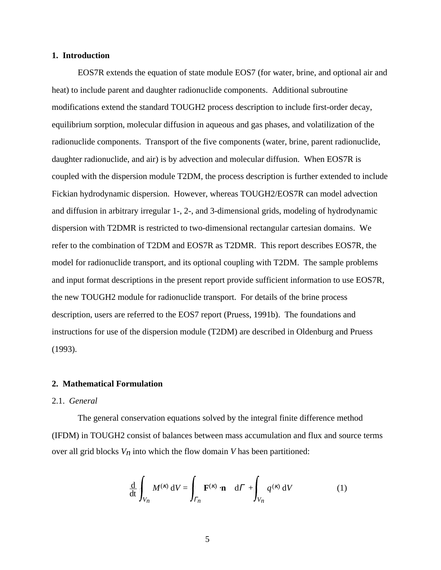# **1. Introduction**

EOS7R extends the equation of state module EOS7 (for water, brine, and optional air and heat) to include parent and daughter radionuclide components. Additional subroutine modifications extend the standard TOUGH2 process description to include first-order decay, equilibrium sorption, molecular diffusion in aqueous and gas phases, and volatilization of the radionuclide components. Transport of the five components (water, brine, parent radionuclide, daughter radionuclide, and air) is by advection and molecular diffusion. When EOS7R is coupled with the dispersion module T2DM, the process description is further extended to include Fickian hydrodynamic dispersion. However, whereas TOUGH2/EOS7R can model advection and diffusion in arbitrary irregular 1-, 2-, and 3-dimensional grids, modeling of hydrodynamic dispersion with T2DMR is restricted to two-dimensional rectangular cartesian domains. We refer to the combination of T2DM and EOS7R as T2DMR. This report describes EOS7R, the model for radionuclide transport, and its optional coupling with T2DM. The sample problems and input format descriptions in the present report provide sufficient information to use EOS7R, the new TOUGH2 module for radionuclide transport. For details of the brine process description, users are referred to the EOS7 report (Pruess, 1991b). The foundations and instructions for use of the dispersion module (T2DM) are described in Oldenburg and Pruess (1993).

### **2. Mathematical Formulation**

# 2.1. *General*

The general conservation equations solved by the integral finite difference method (IFDM) in TOUGH2 consist of balances between mass accumulation and flux and source terms over all grid blocks  $V_n$  into which the flow domain *V* has been partitioned:

$$
\frac{\mathrm{d}}{\mathrm{d}t} \int_{V_n} M^{(\kappa)} \, \mathrm{d}V = \int_{\Gamma_n} \mathbf{F}^{(\kappa)} \cdot \mathbf{n} \quad \mathrm{d}\Gamma + \int_{V_n} q^{(\kappa)} \, \mathrm{d}V \tag{1}
$$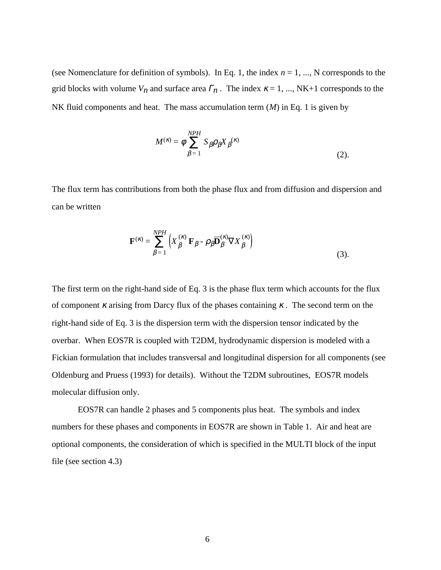(see Nomenclature for definition of symbols). In Eq. 1, the index  $n = 1, \dots, N$  corresponds to the grid blocks with volume  $V_n$  and surface area  $\Gamma_n$ . The index  $\kappa = 1, ..., NK+1$  corresponds to the NK fluid components and heat. The mass accumulation term (*M*) in Eq. 1 is given by

$$
M^{(\kappa)} = \phi \sum_{\beta=1}^{NPH} S_{\beta} \rho_{\beta} X_{\beta}^{(\kappa)} \tag{2}.
$$

The flux term has contributions from both the phase flux and from diffusion and dispersion and can be written

$$
\mathbf{F}^{(\kappa)} = \sum_{\beta=1}^{NPH} \left( X_{\beta}^{(\kappa)} \mathbf{F}_{\beta} - \rho_{\beta} \overline{\mathbf{D}}_{\beta}^{(\kappa)} \nabla X_{\beta}^{(\kappa)} \right)
$$
(3).

The first term on the right-hand side of Eq. 3 is the phase flux term which accounts for the flux of component  $\kappa$  arising from Darcy flux of the phases containing  $\kappa$ . The second term on the right-hand side of Eq. 3 is the dispersion term with the dispersion tensor indicated by the overbar. When EOS7R is coupled with T2DM, hydrodynamic dispersion is modeled with a Fickian formulation that includes transversal and longitudinal dispersion for all components (see Oldenburg and Pruess (1993) for details). Without the T2DM subroutines, EOS7R models molecular diffusion only.

EOS7R can handle 2 phases and 5 components plus heat. The symbols and index numbers for these phases and components in EOS7R are shown in Table 1. Air and heat are optional components, the consideration of which is specified in the MULTI block of the input file (see section 4.3)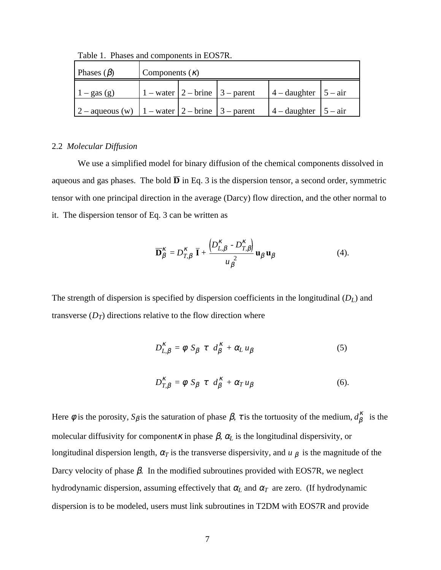| Phases $(\beta)$                                       | Components $(\kappa)$ |  |                                                                              |                          |  |
|--------------------------------------------------------|-----------------------|--|------------------------------------------------------------------------------|--------------------------|--|
| $1 - gas(g)$                                           |                       |  | 1 – water $\begin{array}{ c c } 2$ – brine $\begin{array}{ c c } 3$ – parent | $4$ – daughter $5$ – air |  |
| $2$ – aqueous (w) $1$ – water $2$ – brine $3$ – parent |                       |  |                                                                              | $4$ – daughter $5$ – air |  |

Table 1. Phases and components in EOS7R.

### 2.2 *Molecular Diffusion*

We use a simplified model for binary diffusion of the chemical components dissolved in aqueous and gas phases. The bold  $\overline{D}$  in Eq. 3 is the dispersion tensor, a second order, symmetric tensor with one principal direction in the average (Darcy) flow direction, and the other normal to it. The dispersion tensor of Eq. 3 can be written as

$$
\overline{\mathbf{D}}_{\beta}^{\kappa} = D_{T,\beta}^{\kappa} \overline{\mathbf{I}} + \frac{\left(D_{L,\beta}^{\kappa} - D_{T,\beta}^{\kappa}\right)}{u_{\beta}^{2}} \mathbf{u}_{\beta} \mathbf{u}_{\beta}
$$
(4).

The strength of dispersion is specified by dispersion coefficients in the longitudinal (*DL*) and transverse  $(D_T)$  directions relative to the flow direction where

$$
D_{L,\beta}^{\kappa} = \phi \ S_{\beta} \ \tau \ d_{\beta}^{\kappa} + \alpha_L u_{\beta} \tag{5}
$$

$$
D_{T,\beta}^{\kappa} = \phi \ S_{\beta} \ \tau \ d_{\beta}^{\kappa} + \alpha_T u_{\beta} \tag{6}.
$$

Here  $\phi$  is the porosity,  $S_{\beta}$  is the saturation of phase  $\beta$ ,  $\tau$  is the tortuosity of the medium,  $d_{\beta}^{\kappa}$  is the molecular diffusivity for component *K* in phase  $\beta$ ,  $\alpha$ <sub>L</sub> is the longitudinal dispersivity, or longitudinal dispersion length,  $\alpha_T$  is the transverse dispersivity, and  $\mu \beta$  is the magnitude of the Darcy velocity of phase  $\beta$ . In the modified subroutines provided with EOS7R, we neglect hydrodynamic dispersion, assuming effectively that  $\alpha_L$  and  $\alpha_T$  are zero. (If hydrodynamic dispersion is to be modeled, users must link subroutines in T2DM with EOS7R and provide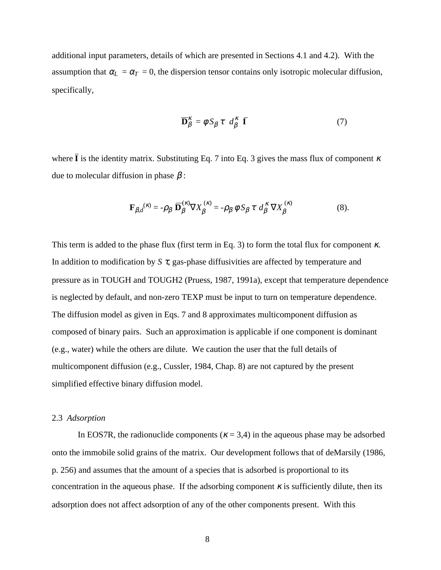additional input parameters, details of which are presented in Sections 4.1 and 4.2). With the assumption that  $\alpha_L = \alpha_T = 0$ , the dispersion tensor contains only isotropic molecular diffusion, specifically,

$$
\overline{\mathbf{D}}_{\beta}^{K} = \phi \, S_{\beta} \, \tau \, d_{\beta}^{K} \, \overline{\mathbf{I}} \tag{7}
$$

where  $\bar{I}$  is the identity matrix. Substituting Eq. 7 into Eq. 3 gives the mass flux of component  $\kappa$ due to molecular diffusion in phase  $β$ :

$$
\mathbf{F}_{\beta,d}^{(\kappa)} = -\rho_{\beta} \; \overline{\mathbf{D}}_{\beta}^{(\kappa)} \nabla X_{\beta}^{(\kappa)} = -\rho_{\beta} \; \phi \; S_{\beta} \; \tau \; d_{\beta}^{K} \; \nabla X_{\beta}^{(\kappa)} \tag{8}.
$$

This term is added to the phase flux (first term in Eq. 3) to form the total flux for component  $\kappa$ . In addition to modification by *S* τ, gas-phase diffusivities are affected by temperature and pressure as in TOUGH and TOUGH2 (Pruess, 1987, 1991a), except that temperature dependence is neglected by default, and non-zero TEXP must be input to turn on temperature dependence. The diffusion model as given in Eqs. 7 and 8 approximates multicomponent diffusion as composed of binary pairs. Such an approximation is applicable if one component is dominant (e.g., water) while the others are dilute. We caution the user that the full details of multicomponent diffusion (e.g., Cussler, 1984, Chap. 8) are not captured by the present simplified effective binary diffusion model.

# 2.3 *Adsorption*

In EOS7R, the radionuclide components ( $\kappa$  = 3,4) in the aqueous phase may be adsorbed onto the immobile solid grains of the matrix. Our development follows that of deMarsily (1986, p. 256) and assumes that the amount of a species that is adsorbed is proportional to its concentration in the aqueous phase. If the adsorbing component  $\kappa$  is sufficiently dilute, then its adsorption does not affect adsorption of any of the other components present. With this

8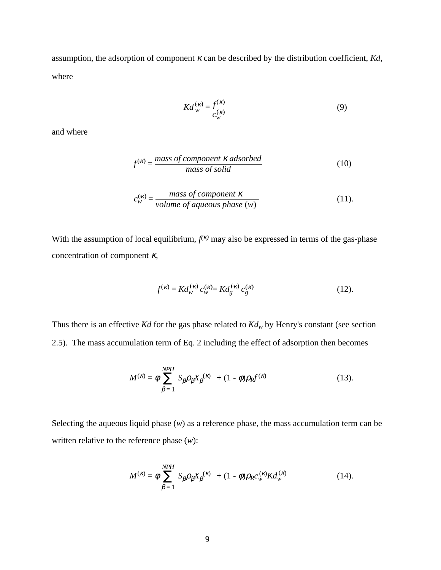assumption, the adsorption of component κ can be described by the distribution coefficient, *Kd*, where

$$
Kd_w^{(\kappa)} = \frac{f^{(\kappa)}}{c_w^{(\kappa)}}
$$
\n(9)

and where

$$
f^{(\kappa)} = \frac{mass\ of\ component\ \kappa\ adsorbed}{mass\ of\ solid} \tag{10}
$$

$$
c_w^{(\kappa)} = \frac{mass\ of\ component\ \kappa}{volume\ of\ aqueous\ phase\ (w)}\tag{11}.
$$

With the assumption of local equilibrium,  $f^{(k)}$  may also be expressed in terms of the gas-phase concentration of component  $\kappa$ ,

$$
f^{(\kappa)} = K d_{w}^{(\kappa)} c_{w}^{(\kappa)} = K d_{g}^{(\kappa)} c_{g}^{(\kappa)} \tag{12}.
$$

Thus there is an effective *Kd* for the gas phase related to  $Kd_w$  by Henry's constant (see section 2.5). The mass accumulation term of Eq. 2 including the effect of adsorption then becomes

$$
M^{(\kappa)} = \phi \sum_{\beta=1}^{NPH} S_{\beta} \rho_{\beta} X_{\beta}^{(\kappa)} + (1 - \phi) \rho_{R} f^{(\kappa)} \tag{13}.
$$

Selecting the aqueous liquid phase (*w*) as a reference phase, the mass accumulation term can be written relative to the reference phase (*w*):

$$
M^{(\kappa)} = \phi \sum_{\beta=1}^{NPH} S_{\beta} \rho_{\beta} X_{\beta}^{(\kappa)} + (1 - \phi) \rho_{R} c_{w}^{(\kappa)} K d_{w}^{(\kappa)}
$$
(14).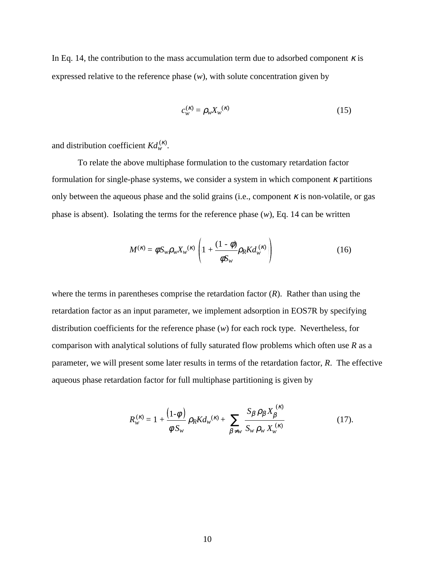In Eq. 14, the contribution to the mass accumulation term due to adsorbed component  $\kappa$  is expressed relative to the reference phase (*w*), with solute concentration given by

$$
c_w^{(\kappa)} = \rho_w X_w^{(\kappa)} \tag{15}
$$

and distribution coefficient  $K d_w^{(k)}$ .

To relate the above multiphase formulation to the customary retardation factor formulation for single-phase systems, we consider a system in which component  $\kappa$  partitions only between the aqueous phase and the solid grains (i.e., component  $\kappa$  is non-volatile, or gas phase is absent). Isolating the terms for the reference phase (*w*), Eq. 14 can be written

$$
M^{(\kappa)} = \phi S_w \rho_w X_w^{(\kappa)} \left( 1 + \frac{(1 - \phi)}{\phi S_w} \rho_R K d_w^{(\kappa)} \right) \tag{16}
$$

where the terms in parentheses comprise the retardation factor (*R*). Rather than using the retardation factor as an input parameter, we implement adsorption in EOS7R by specifying distribution coefficients for the reference phase (*w*) for each rock type. Nevertheless, for comparison with analytical solutions of fully saturated flow problems which often use *R* as a parameter, we will present some later results in terms of the retardation factor, *R*. The effective aqueous phase retardation factor for full multiphase partitioning is given by

$$
R_{w}^{(\kappa)} = 1 + \frac{(1-\phi)}{\phi S_{w}} \rho_{R} K d_{w}^{(\kappa)} + \sum_{\beta \neq w} \frac{S_{\beta} \rho_{\beta} X_{\beta}^{(\kappa)}}{S_{w} \rho_{w} X_{w}^{(\kappa)}} \tag{17}
$$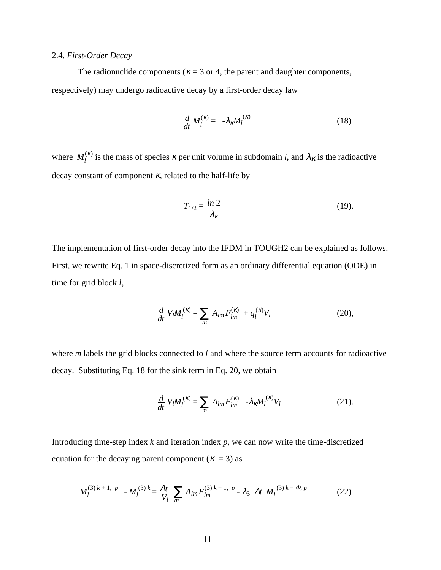# 2.4. *First-Order Decay*

The radionuclide components ( $\kappa$  = 3 or 4, the parent and daughter components, respectively) may undergo radioactive decay by a first-order decay law

$$
\frac{d}{dt}M_l^{(\kappa)} = -\lambda_{\kappa} M_l^{(\kappa)} \tag{18}
$$

where  $M_l^{(k)}$  is the mass of species  $\kappa$  per unit volume in subdomain *l*, and  $\lambda_K$  is the radioactive decay constant of component  $\kappa$ , related to the half-life by

$$
T_{1/2} = \frac{\ln 2}{\lambda_{\kappa}}\tag{19}
$$

The implementation of first-order decay into the IFDM in TOUGH2 can be explained as follows. First, we rewrite Eq. 1 in space-discretized form as an ordinary differential equation (ODE) in time for grid block *l*,

$$
\frac{d}{dt} V_l M_l^{(\kappa)} = \sum_m A_{lm} F_{lm}^{(\kappa)} + q_l^{(\kappa)} V_l \tag{20},
$$

where *m* labels the grid blocks connected to *l* and where the source term accounts for radioactive decay. Substituting Eq. 18 for the sink term in Eq. 20, we obtain

$$
\frac{d}{dt} V_l M_l^{(\kappa)} = \sum_m A_{lm} F_{lm}^{(\kappa)} - \lambda_{\kappa} M_l^{(\kappa)} V_l \tag{21}.
$$

Introducing time-step index *k* and iteration index *p*, we can now write the time-discretized equation for the decaying parent component ( $\kappa = 3$ ) as

$$
M_l^{(3) k+1, p} - M_l^{(3) k} = \frac{\Delta t}{V_l} \sum_m A_{lm} F_{lm}^{(3) k+1, p} - \lambda_3 \Delta t M_l^{(3) k+ \Phi, p}
$$
 (22)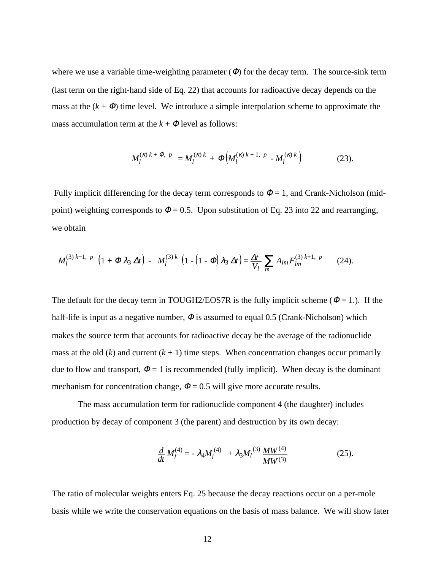where we use a variable time-weighting parameter  $(\Phi)$  for the decay term. The source-sink term (last term on the right-hand side of Eq. 22) that accounts for radioactive decay depends on the mass at the  $(k + \Phi)$  time level. We introduce a simple interpolation scheme to approximate the mass accumulation term at the  $k + \Phi$  level as follows:

$$
M_l^{(\kappa) k + \Phi, p} = M_l^{(\kappa) k} + \Phi \Big( M_l^{(\kappa) k + 1, p} - M_l^{(\kappa) k} \Big) \tag{23}.
$$

Fully implicit differencing for the decay term corresponds to  $\Phi = 1$ , and Crank-Nicholson (midpoint) weighting corresponds to  $\Phi = 0.5$ . Upon substitution of Eq. 23 into 22 and rearranging, we obtain

$$
M_l^{(3) k+1, p} \left(1 + \Phi \lambda_3 \Delta t\right) - M_l^{(3) k} \left(1 - \left(1 - \Phi\right) \lambda_3 \Delta t\right) = \frac{\Delta t}{V_l} \sum_m A_{lm} F_{lm}^{(3) k+1, p} \qquad (24).
$$

The default for the decay term in TOUGH2/EOS7R is the fully implicit scheme ( $\Phi = 1$ .). If the half-life is input as a negative number,  $\Phi$  is assumed to equal 0.5 (Crank-Nicholson) which makes the source term that accounts for radioactive decay be the average of the radionuclide mass at the old  $(k)$  and current  $(k + 1)$  time steps. When concentration changes occur primarily due to flow and transport,  $\Phi = 1$  is recommended (fully implicit). When decay is the dominant mechanism for concentration change,  $\Phi = 0.5$  will give more accurate results.

The mass accumulation term for radionuclide component 4 (the daughter) includes production by decay of component 3 (the parent) and destruction by its own decay:

$$
\frac{d}{dt}M_l^{(4)} = -\lambda_4 M_l^{(4)} + \lambda_3 M_l^{(3)} \frac{MW^{(4)}}{MW^{(3)}} \tag{25}
$$

The ratio of molecular weights enters Eq. 25 because the decay reactions occur on a per-mole basis while we write the conservation equations on the basis of mass balance. We will show later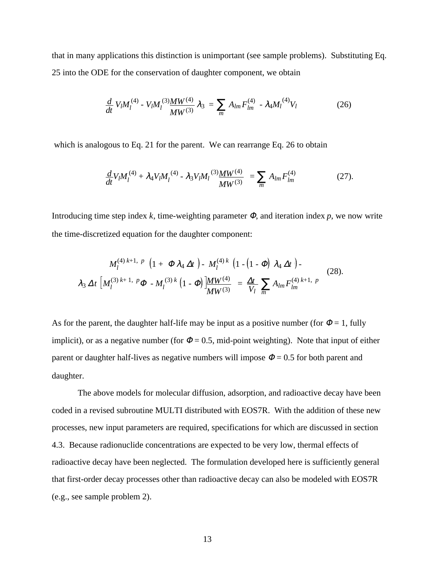that in many applications this distinction is unimportant (see sample problems). Substituting Eq. 25 into the ODE for the conservation of daughter component, we obtain

$$
\frac{d}{dt} V_l M_l^{(4)} - V_l M_l^{(3)} \frac{M W^{(4)}}{M W^{(3)}} \lambda_3 = \sum_m A_{lm} F_{lm}^{(4)} - \lambda_4 M_l^{(4)} V_l \tag{26}
$$

which is analogous to Eq. 21 for the parent. We can rearrange Eq. 26 to obtain

$$
\frac{d}{dt}V_lM_l^{(4)} + \lambda_4 V_lM_l^{(4)} - \lambda_3 V_lM_l^{(3)}\frac{MW^{(4)}}{MW^{(3)}} = \sum_m A_{lm}F_{lm}^{(4)}
$$
(27).

Introducing time step index  $k$ , time-weighting parameter  $\Phi$ , and iteration index  $p$ , we now write the time-discretized equation for the daughter component:

$$
M_l^{(4) k+1, p} \left(1 + \Phi \lambda_4 \Delta t \right) - M_l^{(4) k} \left(1 - \left(1 - \Phi\right) \lambda_4 \Delta t \right) - \lambda_3 \Delta t \left[M_l^{(3) k+1, p} \Phi - M_l^{(3) k} \left(1 - \Phi\right) \frac{M W^{(4)}}{M W^{(3)}} \right] = \frac{\Delta t}{V_l} \sum_m A_{lm} F_{lm}^{(4) k+1, p} \tag{28}.
$$

As for the parent, the daughter half-life may be input as a positive number (for  $\Phi = 1$ , fully implicit), or as a negative number (for  $\Phi = 0.5$ , mid-point weighting). Note that input of either parent or daughter half-lives as negative numbers will impose  $\Phi = 0.5$  for both parent and daughter.

The above models for molecular diffusion, adsorption, and radioactive decay have been coded in a revised subroutine MULTI distributed with EOS7R. With the addition of these new processes, new input parameters are required, specifications for which are discussed in section 4.3. Because radionuclide concentrations are expected to be very low, thermal effects of radioactive decay have been neglected. The formulation developed here is sufficiently general that first-order decay processes other than radioactive decay can also be modeled with EOS7R (e.g., see sample problem 2).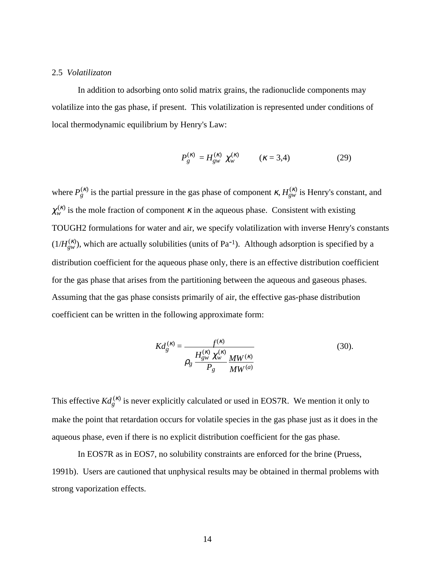# 2.5 *Volatilizaton*

In addition to adsorbing onto solid matrix grains, the radionuclide components may volatilize into the gas phase, if present. This volatilization is represented under conditions of local thermodynamic equilibrium by Henry's Law:

$$
P_g^{(\kappa)} = H_{gw}^{(\kappa)} \chi_w^{(\kappa)} \qquad (\kappa = 3.4)
$$
 (29)

where  $P_g^{(\kappa)}$  is the partial pressure in the gas phase of component  $\kappa$ ,  $H_{gw}^{(\kappa)}$  is Henry's constant, and  $\chi_w^{(\kappa)}$  is the mole fraction of component  $\kappa$  in the aqueous phase. Consistent with existing TOUGH2 formulations for water and air, we specify volatilization with inverse Henry's constants  $(1/H_{gw}^{(\kappa)})$ , which are actually solubilities (units of Pa<sup>-1</sup>). Although adsorption is specified by a distribution coefficient for the aqueous phase only, there is an effective distribution coefficient for the gas phase that arises from the partitioning between the aqueous and gaseous phases. Assuming that the gas phase consists primarily of air, the effective gas-phase distribution coefficient can be written in the following approximate form:

$$
Kd_g^{(\kappa)} = \frac{f^{(\kappa)}}{\rho_g} \frac{H_{g_W}^{(\kappa)} \chi_w^{(\kappa)}}{P_g} \frac{MW^{(\kappa)}}{MW^{(a)}} \tag{30}.
$$

This effective  $Kd_g^{(k)}$  is never explicitly calculated or used in EOS7R. We mention it only to make the point that retardation occurs for volatile species in the gas phase just as it does in the aqueous phase, even if there is no explicit distribution coefficient for the gas phase.

In EOS7R as in EOS7, no solubility constraints are enforced for the brine (Pruess, 1991b). Users are cautioned that unphysical results may be obtained in thermal problems with strong vaporization effects.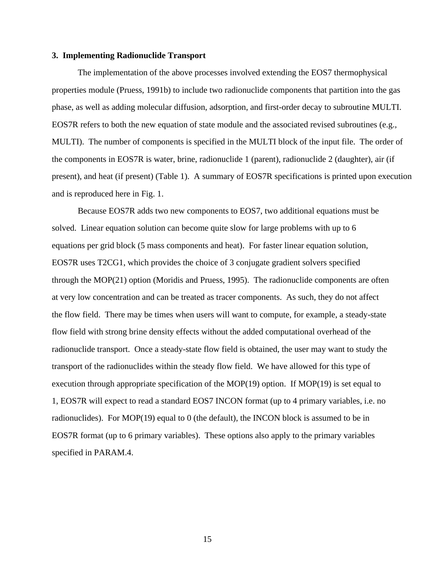## **3. Implementing Radionuclide Transport**

The implementation of the above processes involved extending the EOS7 thermophysical properties module (Pruess, 1991b) to include two radionuclide components that partition into the gas phase, as well as adding molecular diffusion, adsorption, and first-order decay to subroutine MULTI. EOS7R refers to both the new equation of state module and the associated revised subroutines (e.g., MULTI). The number of components is specified in the MULTI block of the input file. The order of the components in EOS7R is water, brine, radionuclide 1 (parent), radionuclide 2 (daughter), air (if present), and heat (if present) (Table 1). A summary of EOS7R specifications is printed upon execution and is reproduced here in Fig. 1.

Because EOS7R adds two new components to EOS7, two additional equations must be solved. Linear equation solution can become quite slow for large problems with up to 6 equations per grid block (5 mass components and heat). For faster linear equation solution, EOS7R uses T2CG1, which provides the choice of 3 conjugate gradient solvers specified through the MOP(21) option (Moridis and Pruess, 1995). The radionuclide components are often at very low concentration and can be treated as tracer components. As such, they do not affect the flow field. There may be times when users will want to compute, for example, a steady-state flow field with strong brine density effects without the added computational overhead of the radionuclide transport. Once a steady-state flow field is obtained, the user may want to study the transport of the radionuclides within the steady flow field. We have allowed for this type of execution through appropriate specification of the MOP(19) option. If MOP(19) is set equal to 1, EOS7R will expect to read a standard EOS7 INCON format (up to 4 primary variables, i.e. no radionuclides). For MOP(19) equal to 0 (the default), the INCON block is assumed to be in EOS7R format (up to 6 primary variables). These options also apply to the primary variables specified in PARAM.4.

15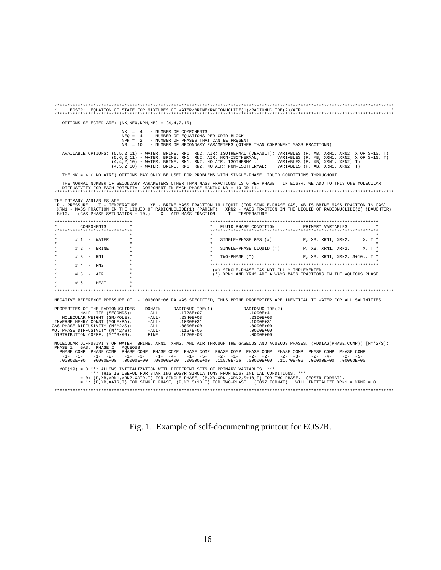| EOS7R: EQUATION OF STATE FOR MIXTURES OF WATER/BRINE/RADIONUCLIDE(1)/RADIONUCLIDE(2)/AIR                                                                                                                                                                                                                                                                                                                                                                                                                                                                                |
|-------------------------------------------------------------------------------------------------------------------------------------------------------------------------------------------------------------------------------------------------------------------------------------------------------------------------------------------------------------------------------------------------------------------------------------------------------------------------------------------------------------------------------------------------------------------------|
| OPTIONS SELECTED ARE: $(NK,NEQ, NPH, NB) = (4, 4, 2, 10)$                                                                                                                                                                                                                                                                                                                                                                                                                                                                                                               |
| NK = 4 - NUMBER OF COMPONENTS<br>NEQ = 4 - NUMBER OF EQUATIONS PER GRID BLOCK<br>NPH = 2 - NUMBER OF PHASES THAT CAN BE PRESENT<br>$NR = 10$<br>- NUMBER OF SECONDARY PARAMETERS (OTHER THAN COMPONENT MASS FRACTIONS)                                                                                                                                                                                                                                                                                                                                                  |
| AVAILABLE OPTIONS: (5,5,2,11) - WATER, BRINE, RN1, RN2, AIR; ISOTHERMAL (DEFAULT); VARIABLES (P, XB, XRN1, XRN2, X OR S+10, T)<br>$(5,6,2,11)$ - WATER, BRINE, RN1, RN2, AIR; NON-ISOTHERMAL; VARIABLES (P, XB, XRN1, XRN2, X OR S+10, T) $(4,4,2,10)$ - WATER, BRINE, RN1, RN2, NO AIR; ISOTHERMAL; VARIABLES (P, XB, XRN1, XRN2, T)<br>(4,5,2,10) - WATER, BRINE, RN1, RN2, NO AIR; NON-ISOTHERMAL; VARIABLES (P, XB, XRN1, XRN2, T)                                                                                                                                  |
| THE NK = 4 ("NO AIR") OPTIONS MAY ONLY BE USED FOR PROBLEMS WITH SINGLE-PHASE LIQUID CONDITIONS THROUGHOUT.                                                                                                                                                                                                                                                                                                                                                                                                                                                             |
| THE NORMAL NUMBER OF SECONDARY PARAMETERS OTHER THAN MASS FRACTIONS IS 6 PER PHASE. IN EOS7R, WE ADD TO THIS ONE MOLECULAR<br>DIFFUSIVITY FOR EACH POTENTIAL COMPONENT IN EACH PHASE MAKING NB = 10 OR 11.                                                                                                                                                                                                                                                                                                                                                              |
| THE PRIMARY VARIABLES ARE<br>P - PRESSURE<br>T - TEMPERATURE MEXTER WAS FRACTION IN LIQUID (FOR SINGLE-PHASE GAS, XB IS BRINE MASS FRACTION IN GAS)<br>XRN1 - MASS FRACTION IN THE LIQUID OF RADIONUCLIDE(1) (PARENT) XRN2 - MASS FRACTION IN THE LIQUID OF RADIONUCLIDE(2) (DAUGHTER)<br>$S+10.$ - (GAS PHASE SATURATION + 10.) X - AIR MASS FRACTION T - TEMPERATURE                                                                                                                                                                                                  |
| *****************************<br>COMPONENTS<br>FLUID PHASE CONDITION<br>PRIMARY VARIABLES<br>****************************                                                                                                                                                                                                                                                                                                                                                                                                                                               |
| $\star$<br>$# 1 - WATER$<br>X, T *<br>SINGLE-PHASE GAS (#)<br>P, XB, XRN1, XRN2,                                                                                                                                                                                                                                                                                                                                                                                                                                                                                        |
| $# 2 - BRINE$<br>SINGLE-PHASE LIQUID (*) P, XB, XRN1, XRN2,<br>$X. T$ *                                                                                                                                                                                                                                                                                                                                                                                                                                                                                                 |
| $# 3 - RN1$<br>P, XB, XRN1, XRN2, S+10., T *<br>TWO-PHASE (*)                                                                                                                                                                                                                                                                                                                                                                                                                                                                                                           |
| $# 4 - RN2$<br>(#) SINGLE-PHASE GAS NOT FULLY IMPLEMENTED.<br>$# 5 - AIR$<br>(*) XRN1 AND XRN2 ARE ALWAYS MASS FRACTIONS IN THE AQUEOUS PHASE.                                                                                                                                                                                                                                                                                                                                                                                                                          |
| $# 6 - HERT$                                                                                                                                                                                                                                                                                                                                                                                                                                                                                                                                                            |
|                                                                                                                                                                                                                                                                                                                                                                                                                                                                                                                                                                         |
| NEGATIVE REFERENCE PRESSURE OF -. 100000E+06 PA WAS SPECIFIED, THUS BRINE PROPERTIES ARE IDENTICAL TO WATER FOR ALL SALINITIES.                                                                                                                                                                                                                                                                                                                                                                                                                                         |
| PROPERTIES OF THE RADIONUCLIDES: DOMAIN<br>RADIONUCLIDE(1)<br>RADIONUCLIDE (2)<br>HALF-LIFE (SECONDS): - ALL-<br>.1728E+07<br>.1000E+41<br>$\begin{tabular}{ll} & Hull-1-111c & (SM/MOLE): & -111c \\ & MOLECULAR WEGHT (GM/MOLE): & -ALL-\\ ANVERSE HENRY CONST. (MOLE/PA): & -ALL-\\ GAG PHASE DIFFUSIVITY (M**2/S): & -ALL-\\ AG. PHASE DIFFUSIVITY (M**2/S): & -ALL-\\ DISTRIBUTION COEFF. (M**3/KG): & FINE \end{tabular}$<br>.2340E+03<br>.2300E+03<br>.1000E+31<br>.0000E+00<br>.1157E-06<br>.1000E+31<br>.0000E+00<br>.0000E+00<br>$.1620E-03$<br>$.0000E + 00$ |
| MOLECULAR DIFFUSIVITY OF WATER, BRINE, XRN1, XRN2, AND AIR THROUGH THE GASEOUS AND AQUEOUS PHASES, (FDDIAG(PHASE,COMP)) [M**2/S]:<br>PHASE 1 = GAS; PHASE 2 = AQUEOUS<br>PHASE COMP PHASE COMP PHASE COMP PHASE COMP PHASE COMP PHASE COMP PHASE COMP PHASE COMP PHASE COMP PHASE COMP<br>$-1 - -3 -$<br>$-2 - -2 -$<br>$-2 - -3 -$<br>$-1 - -1 -$<br>$-1 - -2 -$<br>$-1 - -4 -$<br>$-1 - -5 -$<br>$-2 - -1 -$<br>$-2 - -4 - -2 - -5 -$<br>.00000E+00 .00000E+00 .11570E-06 .00000E+00 .00000E+00<br>.00000E+00.00000E+00.00000E+00.<br>.00000E+00<br>.00000E+00        |
| MOP(19) = 0 *** ALLOWS INITIALIZATION WITH DIFFERENT SETS OF PRIMARY VARIABLES. ***<br>*** THIS IS USEFUL FOR STARTING EOS7R SIMULATIONS FROM EOS7 INITIAL CONDITIONS. ***<br>= 0: $(P,XB,XRNI,XRNI,ZXAIR,T)$ FOR SINGLE PHASE, $(P,XB,XRNI,XRN2,S+10,T)$ FOR TWO-PHASE. (EOS7R FORMAT).<br>= 1: (P,XB,XAIR,T) FOR SINGLE PHASE, (P,XB,S+10,T) FOR TWO-PHASE. (EOS7 FORMAT). WILL INITIALIZE XRN1 = XRN2 = 0.                                                                                                                                                           |
|                                                                                                                                                                                                                                                                                                                                                                                                                                                                                                                                                                         |

Fig. 1. Example of self-documenting printout for EOS7R.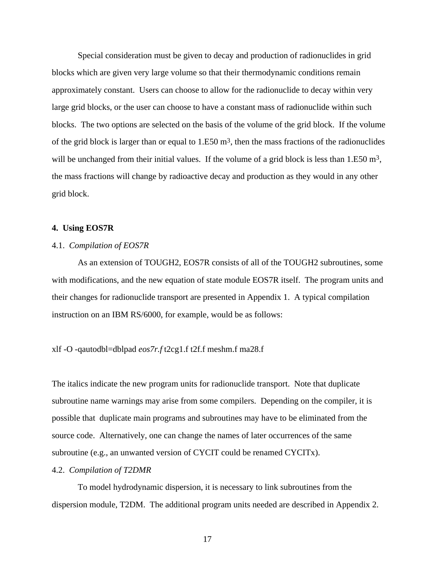Special consideration must be given to decay and production of radionuclides in grid blocks which are given very large volume so that their thermodynamic conditions remain approximately constant. Users can choose to allow for the radionuclide to decay within very large grid blocks, or the user can choose to have a constant mass of radionuclide within such blocks. The two options are selected on the basis of the volume of the grid block. If the volume of the grid block is larger than or equal to  $1.E50 m<sup>3</sup>$ , then the mass fractions of the radionuclides will be unchanged from their initial values. If the volume of a grid block is less than  $1.E50 m<sup>3</sup>$ , the mass fractions will change by radioactive decay and production as they would in any other grid block.

### **4. Using EOS7R**

# 4.1. *Compilation of EOS7R*

As an extension of TOUGH2, EOS7R consists of all of the TOUGH2 subroutines, some with modifications, and the new equation of state module EOS7R itself. The program units and their changes for radionuclide transport are presented in Appendix 1. A typical compilation instruction on an IBM RS/6000, for example, would be as follows:

# xlf -O -qautodbl=dblpad *eos7r.f* t2cg1.f t2f.f meshm.f ma28.f

The italics indicate the new program units for radionuclide transport. Note that duplicate subroutine name warnings may arise from some compilers. Depending on the compiler, it is possible that duplicate main programs and subroutines may have to be eliminated from the source code. Alternatively, one can change the names of later occurrences of the same subroutine (e.g., an unwanted version of CYCIT could be renamed CYCITx).

#### 4.2. *Compilation of T2DMR*

To model hydrodynamic dispersion, it is necessary to link subroutines from the dispersion module, T2DM. The additional program units needed are described in Appendix 2.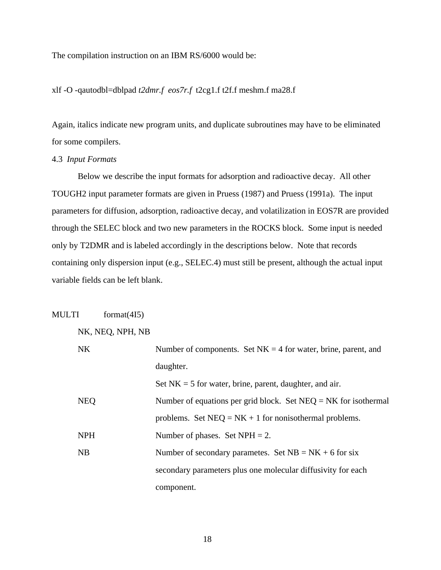The compilation instruction on an IBM RS/6000 would be:

xlf -O -qautodbl=dblpad *t2dmr.f eos7r.f* t2cg1.f t2f.f meshm.f ma28.f

Again, italics indicate new program units, and duplicate subroutines may have to be eliminated for some compilers.

# 4.3 *Input Formats*

 Below we describe the input formats for adsorption and radioactive decay. All other TOUGH2 input parameter formats are given in Pruess (1987) and Pruess (1991a). The input parameters for diffusion, adsorption, radioactive decay, and volatilization in EOS7R are provided through the SELEC block and two new parameters in the ROCKS block. Some input is needed only by T2DMR and is labeled accordingly in the descriptions below. Note that records containing only dispersion input (e.g., SELEC.4) must still be present, although the actual input variable fields can be left blank.

| MULTI |            | format $(4I5)$   |                                                                   |
|-------|------------|------------------|-------------------------------------------------------------------|
|       |            | NK, NEQ, NPH, NB |                                                                   |
|       | <b>NK</b>  |                  | Number of components. Set $NK = 4$ for water, brine, parent, and  |
|       |            |                  | daughter.                                                         |
|       |            |                  | Set $NK = 5$ for water, brine, parent, daughter, and air.         |
|       | <b>NEQ</b> |                  | Number of equations per grid block. Set $NEQ = NK$ for isothermal |
|       |            |                  | problems. Set $NEQ = NK + 1$ for nonisothermal problems.          |
|       | <b>NPH</b> |                  | Number of phases. Set $NPH = 2$ .                                 |
|       | NB         |                  | Number of secondary parametes. Set $NB = NK + 6$ for six          |
|       |            |                  | secondary parameters plus one molecular diffusivity for each      |
|       |            |                  | component.                                                        |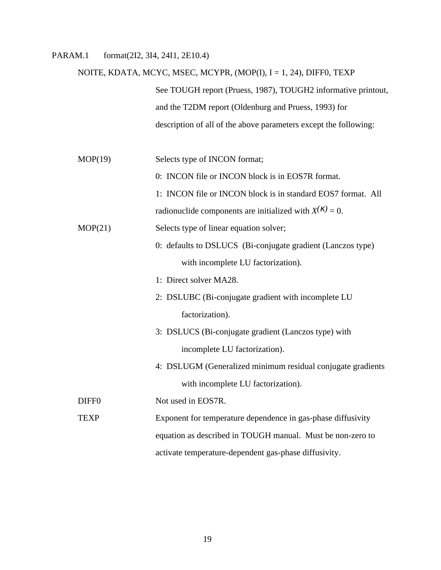# PARAM.1 format(2I2, 3I4, 24I1, 2E10.4)

# NOITE, KDATA, MCYC, MSEC, MCYPR, (MOP(I), I = 1, 24), DIFF0, TEXP See TOUGH report (Pruess, 1987), TOUGH2 informative printout, and the T2DM report (Oldenburg and Pruess, 1993) for description of all of the above parameters except the following:

MOP(19) Selects type of INCON format;

0: INCON file or INCON block is in EOS7R format.

1: INCON file or INCON block is in standard EOS7 format. All

radionuclide components are initialized with  $X^{(k)} = 0$ .

MOP(21) Selects type of linear equation solver;

0: defaults to DSLUCS (Bi-conjugate gradient (Lanczos type) with incomplete LU factorization).

1: Direct solver MA28.

- 2: DSLUBC (Bi-conjugate gradient with incomplete LU factorization).
- 3: DSLUCS (Bi-conjugate gradient (Lanczos type) with incomplete LU factorization).
- 4: DSLUGM (Generalized minimum residual conjugate gradients with incomplete LU factorization).

DIFF0 Not used in EOS7R.

TEXP Exponent for temperature dependence in gas-phase diffusivity equation as described in TOUGH manual. Must be non-zero to activate temperature-dependent gas-phase diffusivity.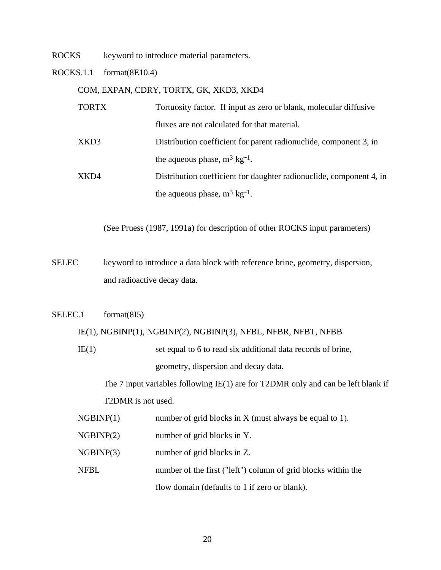ROCKS keyword to introduce material parameters.

ROCKS.1.1 format(8E10.4)

COM, EXPAN, CDRY, TORTX, GK, XKD3, XKD4

| <b>TORTX</b> | Tortuosity factor. If input as zero or blank, molecular diffusive   |
|--------------|---------------------------------------------------------------------|
|              | fluxes are not calculated for that material.                        |
| XKD3         | Distribution coefficient for parent radionuclide, component 3, in   |
|              | the aqueous phase, $m^3$ kg <sup>-1</sup> .                         |
| XKD4         | Distribution coefficient for daughter radionuclide, component 4, in |
|              | the aqueous phase, $m^3$ kg <sup>-1</sup> .                         |

(See Pruess (1987, 1991a) for description of other ROCKS input parameters)

SELEC keyword to introduce a data block with reference brine, geometry, dispersion, and radioactive decay data.

# SELEC.1 format(8I5)

### IE(1), NGBINP(1), NGBINP(2), NGBINP(3), NFBL, NFBR, NFBT, NFBB

IE(1) set equal to 6 to read six additional data records of brine, geometry, dispersion and decay data.

The 7 input variables following IE(1) are for T2DMR only and can be left blank if T2DMR is not used.

| NGBINP(1) | number of grid blocks in X (must always be equal to 1). |  |  |  |
|-----------|---------------------------------------------------------|--|--|--|
|-----------|---------------------------------------------------------|--|--|--|

- NGBINP(2) number of grid blocks in Y.
- NGBINP(3) number of grid blocks in Z.
- NFBL number of the first ("left") column of grid blocks within the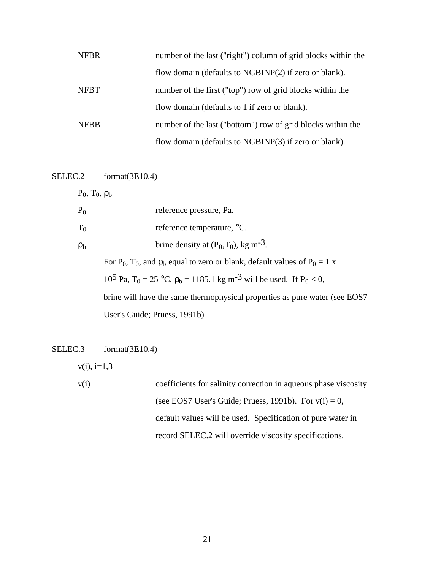| <b>NFBR</b> | number of the last ("right") column of grid blocks within the |
|-------------|---------------------------------------------------------------|
|             | flow domain (defaults to NGBINP(2) if zero or blank).         |
| <b>NFBT</b> | number of the first ("top") row of grid blocks within the     |
|             | flow domain (defaults to 1 if zero or blank).                 |
| <b>NFBB</b> | number of the last ("bottom") row of grid blocks within the   |
|             | flow domain (defaults to NGBINP(3) if zero or blank).         |

SELEC.2 format(3E10.4)

 $P_0$ ,  $T_0$ ,  $\rho_b$ 

| $P_0$          | reference pressure, Pa.                              |
|----------------|------------------------------------------------------|
| $T_0$          | reference temperature, <sup>o</sup> C.               |
| $\rho_{\rm h}$ | brine density at $(P_0, T_0)$ , kg m <sup>-3</sup> . |

For P<sub>0</sub>, T<sub>0</sub>, and  $\rho_b$  equal to zero or blank, default values of P<sub>0</sub> = 1 x 10<sup>5</sup> Pa, T<sub>0</sub> = 25 °C,  $\rho_b$  = 1185.1 kg m<sup>-3</sup> will be used. If P<sub>0</sub> < 0, brine will have the same thermophysical properties as pure water (see EOS7 User's Guide; Pruess, 1991b)

# SELEC.3 format(3E10.4)

 $v(i)$ , i=1,3

v(i) coefficients for salinity correction in aqueous phase viscosity (see EOS7 User's Guide; Pruess, 1991b). For  $v(i) = 0$ , default values will be used. Specification of pure water in record SELEC.2 will override viscosity specifications.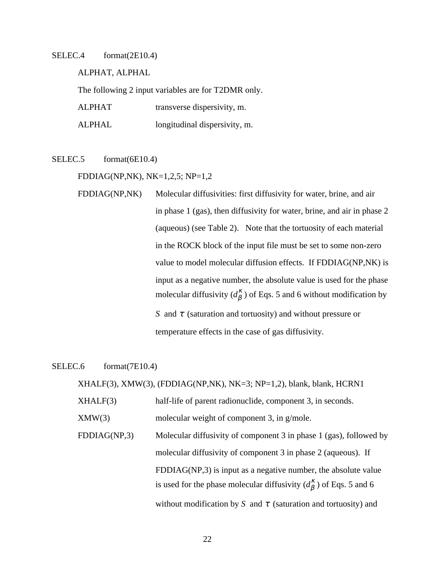# SELEC.4 format(2E10.4)

ALPHAT, ALPHAL

The following 2 input variables are for T2DMR only.

| <b>ALPHAT</b> | transverse dispersivity, m. |  |
|---------------|-----------------------------|--|
|---------------|-----------------------------|--|

ALPHAL longitudinal dispersivity, m.

SELEC.5 format(6E10.4)

FDDIAG(NP,NK), NK=1,2,5; NP=1,2

FDDIAG(NP,NK) Molecular diffusivities: first diffusivity for water, brine, and air in phase 1 (gas), then diffusivity for water, brine, and air in phase 2 (aqueous) (see Table 2). Note that the tortuosity of each material in the ROCK block of the input file must be set to some non-zero value to model molecular diffusion effects. If FDDIAG(NP,NK) is input as a negative number, the absolute value is used for the phase molecular diffusivity  $(d_{\beta}^{K})$  of Eqs. 5 and 6 without modification by *S* and *τ* (saturation and tortuosity) and without pressure or temperature effects in the case of gas diffusivity.

SELEC.6 format(7E10.4)

XHALF(3), XMW(3), (FDDIAG(NP,NK), NK=3; NP=1,2), blank, blank, HCRN1

XHALF(3) half-life of parent radionuclide, component 3, in seconds.

XMW(3) molecular weight of component 3, in g/mole.

FDDIAG(NP,3) Molecular diffusivity of component 3 in phase 1 (gas), followed by molecular diffusivity of component 3 in phase 2 (aqueous). If FDDIAG(NP,3) is input as a negative number, the absolute value is used for the phase molecular diffusivity  $(d_{\beta}^{\kappa})$  of Eqs. 5 and 6 without modification by *S* and  $\tau$  (saturation and tortuosity) and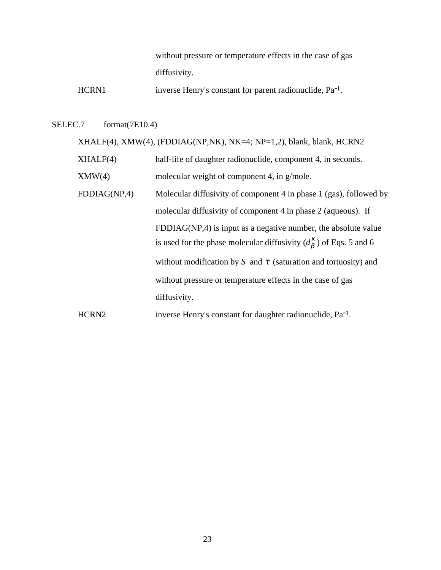without pressure or temperature effects in the case of gas diffusivity.

HCRN1 inverse Henry's constant for parent radionuclide, Pa<sup>-1</sup>.

# SELEC.7 format(7E10.4)

XHALF(4), XMW(4), (FDDIAG(NP,NK), NK=4; NP=1,2), blank, blank, HCRN2

- XHALF(4) half-life of daughter radionuclide, component 4, in seconds.
- XMW(4) molecular weight of component 4, in g/mole.
- FDDIAG(NP,4) Molecular diffusivity of component 4 in phase 1 (gas), followed by molecular diffusivity of component 4 in phase 2 (aqueous). If FDDIAG(NP,4) is input as a negative number, the absolute value is used for the phase molecular diffusivity  $(d_{\beta}^{\kappa})$  of Eqs. 5 and 6 without modification by *S* and  $\tau$  (saturation and tortuosity) and without pressure or temperature effects in the case of gas diffusivity.
- HCRN2 inverse Henry's constant for daughter radionuclide, Pa<sup>-1</sup>.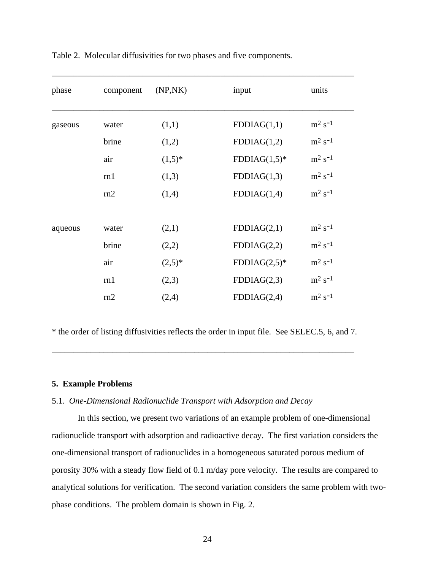| phase   | component | (NP,NK)   | input          | units                          |
|---------|-----------|-----------|----------------|--------------------------------|
| gaseous | water     | (1,1)     | FDDIAG(1,1)    | $\mathrm{m}^2$ s <sup>-1</sup> |
|         | brine     | (1,2)     | FDDIAG(1,2)    | $\mathrm{m}^2$ s <sup>-1</sup> |
|         | air       | $(1,5)^*$ | $FDDIAG(1,5)*$ | $m^2$ s <sup>-1</sup>          |
|         | rn1       | (1,3)     | FDDIAG(1,3)    | $m^2$ s <sup>-1</sup>          |
|         | rn2       | (1,4)     | FDDIAG(1,4)    | $\mathrm{m}^2$ s <sup>-1</sup> |
|         |           |           |                |                                |
| aqueous | water     | (2,1)     | FDDIAG(2,1)    | $m^2$ s <sup>-1</sup>          |
|         | brine     | (2,2)     | FDDIAG(2,2)    | $m2 s-1$                       |
|         | air       | $(2,5)^*$ | $FDDIAG(2,5)*$ | $m^2 s^{-1}$                   |
|         | rn1       | (2,3)     | FDDIAG(2,3)    | $m^2 s^{-1}$                   |
|         | rn2       | (2,4)     | FDDIAG(2,4)    | $m^2$ s <sup>-1</sup>          |

Table 2. Molecular diffusivities for two phases and five components.

\* the order of listing diffusivities reflects the order in input file. See SELEC.5, 6, and 7.

\_\_\_\_\_\_\_\_\_\_\_\_\_\_\_\_\_\_\_\_\_\_\_\_\_\_\_\_\_\_\_\_\_\_\_\_\_\_\_\_\_\_\_\_\_\_\_\_\_\_\_\_\_\_\_\_\_\_\_\_\_\_\_\_\_\_\_\_\_\_

# **5. Example Problems**

# 5.1. *One-Dimensional Radionuclide Transport with Adsorption and Decay*

In this section, we present two variations of an example problem of one-dimensional radionuclide transport with adsorption and radioactive decay. The first variation considers the one-dimensional transport of radionuclides in a homogeneous saturated porous medium of porosity 30% with a steady flow field of 0.1 m/day pore velocity. The results are compared to analytical solutions for verification. The second variation considers the same problem with twophase conditions. The problem domain is shown in Fig. 2.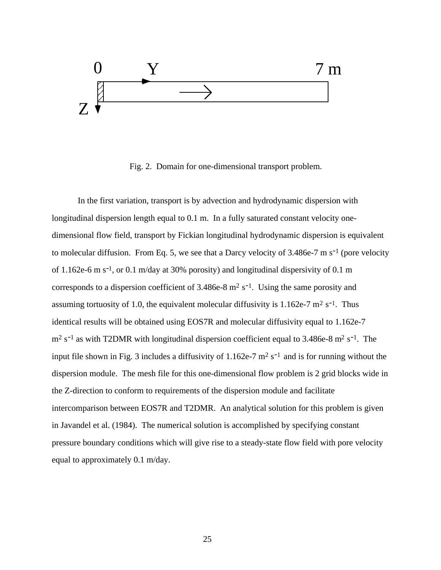

Fig. 2. Domain for one-dimensional transport problem.

In the first variation, transport is by advection and hydrodynamic dispersion with longitudinal dispersion length equal to 0.1 m. In a fully saturated constant velocity onedimensional flow field, transport by Fickian longitudinal hydrodynamic dispersion is equivalent to molecular diffusion. From Eq. 5, we see that a Darcy velocity of  $3.486e-7$  m s<sup>-1</sup> (pore velocity of 1.162e-6 m s<sup>-1</sup>, or 0.1 m/day at 30% porosity) and longitudinal dispersivity of 0.1 m corresponds to a dispersion coefficient of  $3.486e-8$  m<sup>2</sup> s<sup>-1</sup>. Using the same porosity and assuming tortuosity of 1.0, the equivalent molecular diffusivity is 1.162e-7  $m^2 s^{-1}$ . Thus identical results will be obtained using EOS7R and molecular diffusivity equal to 1.162e-7  $m<sup>2</sup>$  s<sup>-1</sup> as with T2DMR with longitudinal dispersion coefficient equal to 3.486e-8 m<sup>2</sup> s<sup>-1</sup>. The input file shown in Fig. 3 includes a diffusivity of  $1.162e-7$  m<sup>2</sup> s<sup>-1</sup> and is for running without the dispersion module. The mesh file for this one-dimensional flow problem is 2 grid blocks wide in the Z-direction to conform to requirements of the dispersion module and facilitate intercomparison between EOS7R and T2DMR. An analytical solution for this problem is given in Javandel et al. (1984). The numerical solution is accomplished by specifying constant pressure boundary conditions which will give rise to a steady-state flow field with pore velocity equal to approximately 0.1 m/day.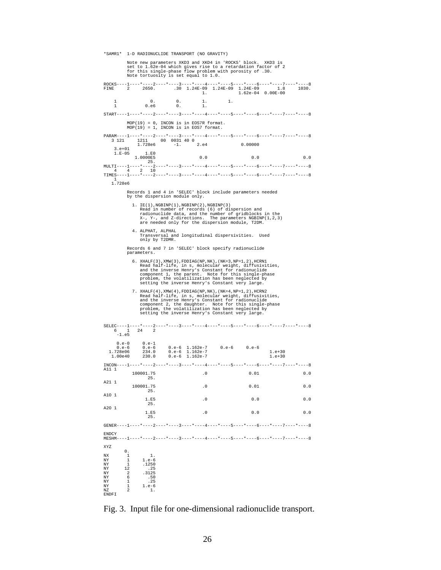\*SAMR1\* 1-D RADIONUCLIDE TRANSPORT (NO GRAVITY) Note new parameters XKD3 and XKD4 in 'ROCKS' block. XKD3 is set to 1.62e-04 which gives rise to a retardation factor of 2 for this single-phase flow problem with porosity of .30. Note tortuosity is set equal to 1.0. ROCKS----1----\*----2----\*----3----\*----4----\*----5----\*----6----\*----7----\*----8 FINE 2 2650. .30 1.24E-09 1.24E-09 1.24E-09 1.8 1030. 1. 1.62e-04 0.00E-00 1 0. 0. 1. 1. 1 0.e6 0. 1.  $\text{START}+\dots+\text{1}\dots+\text{1}\dots+\text{2}\dots+\text{1}\dots+\text{2}\dots+\text{1}\dots+\text{2}\dots+\text{1}\dots+\text{2}\dots+\text{1}\dots+\text{1}\dots+\text{1}\dots+\text{1}\dots+\text{1}\dots+\text{1}\dots+\text{1}\dots+\text{1}\dots+\text{1}\dots+\text{1}\dots+\text{1}\dots+\text{1}\dots+\text{1}\dots+\text{1}\dots+\text{1}\dots+\text{1}\dots+\text{1}\dots+\text{1}\dots+\text{1}\dots+\text{1}\dots+\text{1}\dots+\text{1}\dots+\text{1}\dots+\text{1}\dots+\text{1}\dots+\text{1}\dots+\text$  MOP(19) = 0, INCON is in EOS7R format. MOP(19) = 1, INCON is in EOS7 format. PARAM----1----\*----2----\*----3----\*----4----\*----5----\*----6----\*----7----\*----8 3 121 1211 00 0031 40 0 1.728e6 -1. 2.e4 0.00000 3.e+01  $1.E-05$   $1.E0$ <br> $1.0000E5$  1.0000E5 0.0 0.0 0.0 25. MULTI----1----\*----2----\*----3----\*----4----\*----5----\*----6----\*----7----\*----8 4 4 2 10 TIMES----1----\*----2----\*----3----\*----4----\*----5----\*----6----\*----7----\*----8 1 1.728e6 Records 1 and 4 in 'SELEC' block include parameters needed by the dispersion module only. 1. IE(1),NGBINP(1),NGBINP(2),NGBINP(3) Read in number of records (6) of dispersion and<br>radionuclide data, and the number of gridblocks in the<br>X-, Y-, and Z-directions. The parameters NGBINP(1,2,3)<br>are needed only for the dispersion module, T2DM. 4. ALPHAT, ALPHAL Transversal and longitudinal dispersivities. Used only by T2DMR. Records 6 and 7 in 'SELEC' block specify radionuclide parameters. 6. XHALF(3), XMW(3), FDDIAG(NP,NK), (NK=3,NP=1,2), HCRN1<br>Read half-life, in s, molecular weight, diffusivities,<br>and the inverse Henry's Constant for radionuclide<br>component 1, the parent. Note for this single-phase<br>problem, 7. XHALF(4),XMW(4),FDDIAG(NP,NK),(NK=4,NP=1,2),HCRN2<br>Read half-life, in s, molecular weight, diffusivities,<br>and the inverse Henry's Constant for radionuclide<br>component 2, the daughter. Note for this single-phase<br>problem, t  ${\tt SELEC---1---*---2---*---3---*---4---*---5---*---6---*---7---*---7---*---8$ 6 1 24 2 6 1 24 2 -1.e5  $0.\text{e}-0$   $0.\text{e}-1$ <br>  $0.\text{e}-6$   $0.\text{e}-6$ <br>  $728\text{e}06$   $234.0$ 0.e-6 0.e-6 0.e-6 1.162e-7 0.e-6 0.e-6<br>1.728e06 234.0 0.e-6 1.162e-7 1.728e06 234.0 0.e-6 1.162e-7 1.e+30 1.00e40 230.0 0.e-6 1.162e-7 1.e+30 INCON----1----\*----2----\*----3----\*----4----\*----5----\*----6----\*----7----\*----8 A11 1 100001.75 .0 0.01 0.0  $\frac{25}{25}$ . A21 1 100001.75 .0 0.01 0.0<br>25. A1O 1  $1.E5$  . 0 0.0 0.0 0.0 25. A2O 1  $1.E5$  . 0 0.0 0.0 0.0  $1.E5$ <br> $25.$ GENER----1----\*----2----\*----3----\*----4----\*----5----\*----6----\*----7----\*----8 **ENDCY** MESHM----1----\*----2----\*----3----\*----4----\*----5----\*----6----\*----7----\*----8 XYZ  $\begin{smallmatrix}0&&\\&1\\1&&\\&&1\end{smallmatrix}$ NX 1 1. NY 1 1.e-6<br>NY 1 1.e-6<br>NY 1 1250 NY 1 .1250<br>NY 12 .25<br>NY 2 .3125<br>NY 6 .50 NY 12 .25 NY 2 .3125 NY 6 .50 NY 1 .25 NY 1 1.e-6 NZ 2 1. NI<br>NY<br>NZ<br>ENDFI

Fig. 3. Input file for one-dimensional radionuclide transport.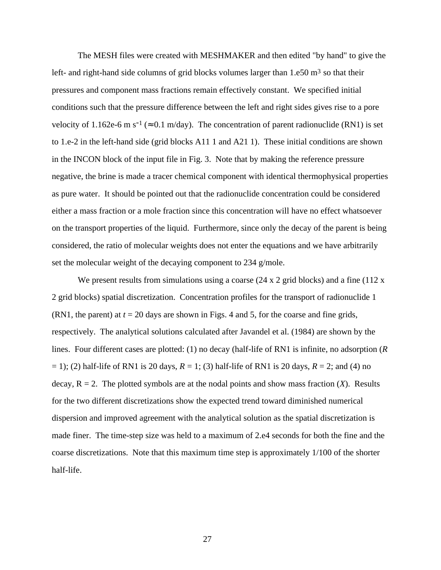The MESH files were created with MESHMAKER and then edited "by hand" to give the left- and right-hand side columns of grid blocks volumes larger than  $1.650 \text{ m}^3$  so that their pressures and component mass fractions remain effectively constant. We specified initial conditions such that the pressure difference between the left and right sides gives rise to a pore velocity of 1.162e-6 m s<sup>-1</sup> ( $\approx$  0.1 m/day). The concentration of parent radionuclide (RN1) is set to 1.e-2 in the left-hand side (grid blocks A11 1 and A21 1). These initial conditions are shown in the INCON block of the input file in Fig. 3. Note that by making the reference pressure negative, the brine is made a tracer chemical component with identical thermophysical properties as pure water. It should be pointed out that the radionuclide concentration could be considered either a mass fraction or a mole fraction since this concentration will have no effect whatsoever on the transport properties of the liquid. Furthermore, since only the decay of the parent is being considered, the ratio of molecular weights does not enter the equations and we have arbitrarily set the molecular weight of the decaying component to 234 g/mole.

We present results from simulations using a coarse  $(24 \times 2 \text{ grid blocks})$  and a fine  $(112 \times$ 2 grid blocks) spatial discretization. Concentration profiles for the transport of radionuclide 1 (RN1, the parent) at *t* = 20 days are shown in Figs. 4 and 5, for the coarse and fine grids, respectively. The analytical solutions calculated after Javandel et al. (1984) are shown by the lines. Four different cases are plotted: (1) no decay (half-life of RN1 is infinite, no adsorption (*R*  $(2)$  half-life of RN1 is 20 days,  $R = 1$ ; (3) half-life of RN1 is 20 days,  $R = 2$ ; and (4) no decay,  $R = 2$ . The plotted symbols are at the nodal points and show mass fraction  $(X)$ . Results for the two different discretizations show the expected trend toward diminished numerical dispersion and improved agreement with the analytical solution as the spatial discretization is made finer. The time-step size was held to a maximum of 2.e4 seconds for both the fine and the coarse discretizations. Note that this maximum time step is approximately 1/100 of the shorter half-life.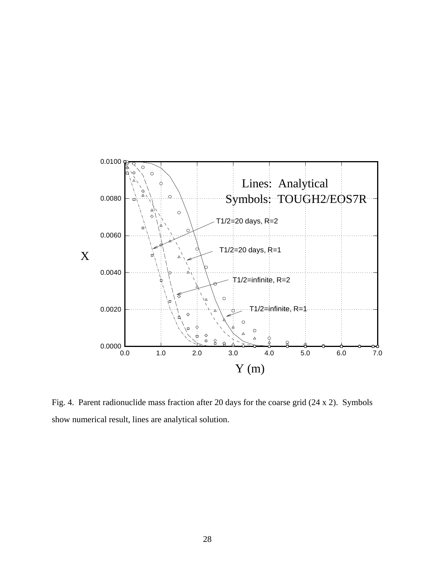

Fig. 4. Parent radionuclide mass fraction after 20 days for the coarse grid (24 x 2). Symbols show numerical result, lines are analytical solution.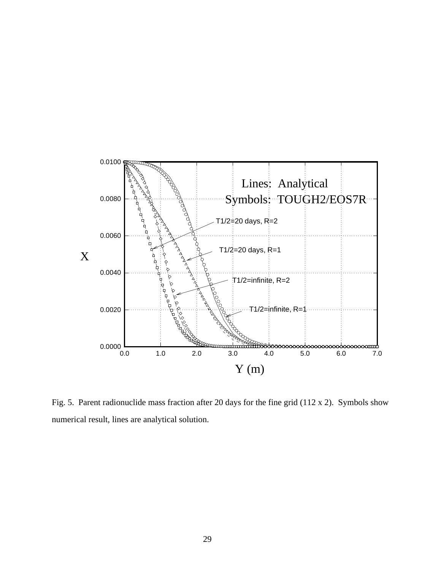

Fig. 5. Parent radionuclide mass fraction after 20 days for the fine grid (112 x 2). Symbols show numerical result, lines are analytical solution.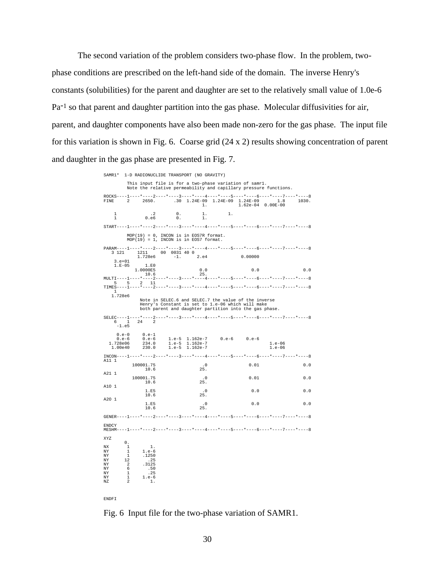The second variation of the problem considers two-phase flow. In the problem, twophase conditions are prescribed on the left-hand side of the domain. The inverse Henry's constants (solubilities) for the parent and daughter are set to the relatively small value of 1.0e-6 Pa<sup>-1</sup> so that parent and daughter partition into the gas phase. Molecular diffusivities for air, parent, and daughter components have also been made non-zero for the gas phase. The input file for this variation is shown in Fig. 6. Coarse grid (24 x 2) results showing concentration of parent and daughter in the gas phase are presented in Fig. 7.

> SAMR1\* 1-D RADIONUCLIDE TRANSPORT (NO GRAVITY) This input file is for a two-phase variation of samr1. Note the relative permeability and capillary pressure functions. ROCKS----1----\*----2----\*----3----\*----4----\*----5----\*----6----\*----7----\*----8 FINE 2 2650. .30 1.24E-09 1.24E-09 1.24E-09 1.8 1030. 1. 1.62e-04 0.00E-00 1 .2 0. 1. 1.  $\begin{matrix} 1 & \hspace{1.5cm} .2 & \hspace{1.5cm} 0. & \hspace{1.5cm} 1. \\ 1 & \hspace{1.5cm} 0. \mathrm{e} 6 & \hspace{1.5cm} 0. & \hspace{1.5cm} 1. \end{matrix}$  $START---1---+---2---+---3------+---4--------5------5------+---6------5------7-----7---+---8$  MOP(19) = 0, INCON is in EOS7R format. MOP(19) = 1, INCON is in EOS7 format.  $\frac{\texttt{PARM---}-1---*---2---*---3---*---4---*---5---*---5---*---6---*---7---*---8$ 3 121 1211 00 0031 40 0 3 121 1211 00 0031 40 0 1.728e6 -1. 2.e4 0.00000 3.e+01 1.E-05 1.E0  $1.0000E5$  0.0 0.0 0.0 0.0 0.0 10.6<br>MULTI----1----\*----2 MULTI----1----\*----2----\*----3----\*----4----\*----5----\*----6----\*----7----\*----8  $5 \t 5 \t 2 \t 11$ TIMES----1----\*----2----\*----3----\*----4----\*----5----\*----6----\*----7----\*-----8 1 1.728e6 Note in SELEC.6 and SELEC.7 the value of the inverse Henry's Constant is set to 1.e-06 which will make both parent and daughter partition into the gas phase. SELEC----1----\*----2----\*----3----\*----4----\*----5----\*----6----\*----7----\*----8 1 24  $-1. e<sub>5</sub>$ 0.e-0 0.e-1<br>
> 0.e-6 0.e-6<br>
> 728e06 234.0<br>
> 00e40 230.0 0.e-6 0.e-6 1.e-5 1.162e-7 0.e-6 0.e-6 1.728e06 234.0 1.e-5 1.162e-7 1.e-06 1.00e40 230.0 1.e-5 1.162e-7 1.e-06  $INCON---1---*---2---*---3------*---4---+---5---*---5---*---6---*---7---*---7---*---8$ A11 1 100001.75 .0 0.01 0.0 10.6 A21 1 100001.75 .0 0.01 0.0 10.6 25. A1O 1  $1.E5$  . 0 0.0 0.0 0.0  $\begin{array}{ccc} 1.E5 & .0 \\ 10.6 & .25 \, . \end{array}$ A2O 1  $1.E5$  . 0 0.0 0.0 0.0 10.6 25. GENER----1----\*----2----\*----3----\*----4----\*----5----\*----6----\*----7----\*----8 ENDCY<br>MESHM- $-1-\cdots *-\cdots 2-\cdots *-\cdots 3-\cdots *-\cdots 4-\cdots *-\cdots 5-\cdots *-\cdots 6-\cdots *-\cdots 7-\cdots$ XYZ  $\begin{array}{ccc} & & & 0 \\ & \text{NX} & & 1 \\ & \text{NY} & & 1 \\ & & 1 & & \end{array}$ NX 1 1. NY 1 1.e-6<br>NY 1 1250 NY 1 .1250<br>NY 12 .25 NY 12 .25 NY 2 .3125 NY 6 .50 NY 1 .25  $\begin{array}{cccc} NY & 2 & .3125 \\ NY & 6 & .50 \\ NY & 1 & .25 \\ NY & 1 & 1.e^{-6} \\ NY & 2 & 1. \end{array}$ NZ 2 1.

ENDFI

Fig. 6 Input file for the two-phase variation of SAMR1.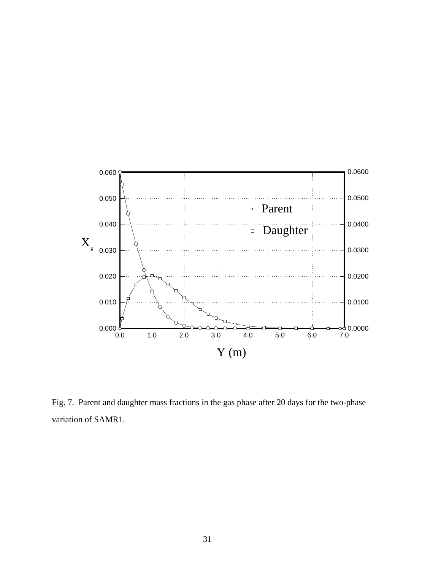

Fig. 7. Parent and daughter mass fractions in the gas phase after 20 days for the two-phase variation of SAMR1.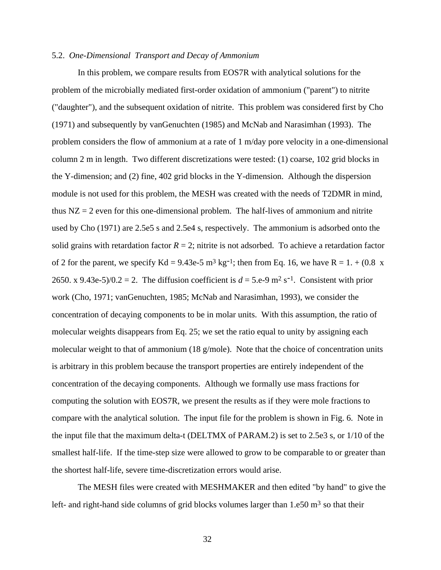### 5.2. *One-Dimensional Transport and Decay of Ammonium*

In this problem, we compare results from EOS7R with analytical solutions for the problem of the microbially mediated first-order oxidation of ammonium ("parent") to nitrite ("daughter"), and the subsequent oxidation of nitrite. This problem was considered first by Cho (1971) and subsequently by vanGenuchten (1985) and McNab and Narasimhan (1993). The problem considers the flow of ammonium at a rate of 1 m/day pore velocity in a one-dimensional column 2 m in length. Two different discretizations were tested: (1) coarse, 102 grid blocks in the Y-dimension; and (2) fine, 402 grid blocks in the Y-dimension. Although the dispersion module is not used for this problem, the MESH was created with the needs of T2DMR in mind, thus  $NZ = 2$  even for this one-dimensional problem. The half-lives of ammonium and nitrite used by Cho (1971) are 2.5e5 s and 2.5e4 s, respectively. The ammonium is adsorbed onto the solid grains with retardation factor  $R = 2$ ; nitrite is not adsorbed. To achieve a retardation factor of 2 for the parent, we specify Kd = 9.43e-5 m<sup>3</sup> kg<sup>-1</sup>; then from Eq. 16, we have R = 1. + (0.8 x 2650. x 9.43e-5)/0.2 = 2. The diffusion coefficient is  $d = 5$ .e-9 m<sup>2</sup> s<sup>-1</sup>. Consistent with prior work (Cho, 1971; vanGenuchten, 1985; McNab and Narasimhan, 1993), we consider the concentration of decaying components to be in molar units. With this assumption, the ratio of molecular weights disappears from Eq. 25; we set the ratio equal to unity by assigning each molecular weight to that of ammonium (18 g/mole). Note that the choice of concentration units is arbitrary in this problem because the transport properties are entirely independent of the concentration of the decaying components. Although we formally use mass fractions for computing the solution with EOS7R, we present the results as if they were mole fractions to compare with the analytical solution. The input file for the problem is shown in Fig. 6. Note in the input file that the maximum delta-t (DELTMX of PARAM.2) is set to 2.5e3 s, or 1/10 of the smallest half-life. If the time-step size were allowed to grow to be comparable to or greater than the shortest half-life, severe time-discretization errors would arise.

The MESH files were created with MESHMAKER and then edited "by hand" to give the left- and right-hand side columns of grid blocks volumes larger than  $1.e50 \text{ m}^3$  so that their

32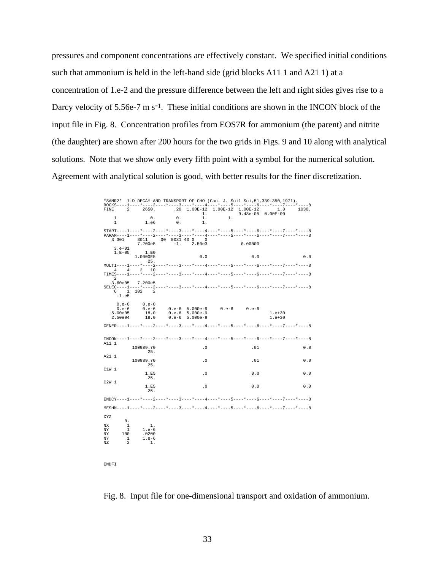pressures and component concentrations are effectively constant. We specified initial conditions such that ammonium is held in the left-hand side (grid blocks A11 1 and A21 1) at a concentration of 1.e-2 and the pressure difference between the left and right sides gives rise to a Darcy velocity of  $5.56e-7$  m  $s^{-1}$ . These initial conditions are shown in the INCON block of the input file in Fig. 8. Concentration profiles from EOS7R for ammonium (the parent) and nitrite (the daughter) are shown after 200 hours for the two grids in Figs. 9 and 10 along with analytical solutions. Note that we show only every fifth point with a symbol for the numerical solution. Agreement with analytical solution is good, with better results for the finer discretization.

> \*SAMR2\* 1-D DECAY AND TRANSPORT OF CHO (Can. J. Soil Sci,51,339-350,1971). ROCKS----1----\*----2----\*----3----\*----4-----\*----5----\*----6----\*----7----\*----8<br>FINE 2 2650. .20 1.00E-12 1.00E-12 1.00E-12 1.8 1030.  $\begin{array}{ccccccccccc} 1 & 0. & 0. & 1.008-12 & 1.008-12 & 1.008-12 & 1.008-0 & 0.008-0 & 0.008-0 & 0.008-0 & 0.008-0 & 0.008-0 & 0.008-0 & 0.008-0 & 0.008-0 & 0.008-0 & 0.008-0 & 0.008-0 & 0.008-0 & 0.008-0 & 0.008-0 & 0.008-0 & 0.008-0 & 0.008-0 & 0.008-0$  1 0. 0. 1. 1.  $0.$   $0.$   $0.$   $1.$  e6  $0.$ START----1----\*----2----\*----3----\*----4----\*----5----\*----6----\*----7----\*----8<br>PARAM----1----\*----2----\*----3----\*----4----\*----5----\*----6----\*----7----\*----8<br>3 301 3011 00 0031 40 0 0 -PARAM----1----\*----2----\*----3----\*----4----\*----5----\*----6----\*----7----\*----8 3 301 3011 00 0031 40 0 0 7.200e5 -1. 2.50e3 0.00000 3.e+01 1.E-05 1.E0  $1.0000B5$ <br> $1.0000B5$ <br> $25.$  0.0 0.0 0.0 0.0 25. MULTI----1----\*----2----\*----3----\*----4----\*----5----\*----6----\*----7----\*----8 4 4 2 10 TIMES----1----\*----2----\*----3----\*----4----\*----5----\*----6----\*----7----\*----8 2 3.60e05 7.200e5 SELEC----1----\*----2----\*----3----\*----4----\*----5----\*----6----\*----7----\*----8  $SELEC---1$  $-1. e<sub>5</sub>$  $\begin{array}{cccc} 0.\, e\mbox{-}0 & 0.\, e\mbox{-}0 \\ 0.\, e\mbox{-}6 & 0.\, e\mbox{-}6 \\ 5.\, 00 \mbox{e05} & 18.\, 0 \\ 2.\, 50 \mbox{e04} & 18.\, 0 \\ \end{array}$  0.e-6 0.e-6 0.e-6 5.000e-9 0.e-6 0.e-6 5.00e05 18.0 0.e-6 5.000e-9 1.e+30 2.50e04 18.0 0.e-6 5.000e-9 1.e+30 GENER----1----\*----2----\*----3----\*----4----\*----5----\*----6----\*----7----\*----8 INCON----1----\*----2----\*----3----\*----4----\*----5----\*----6----\*----7----\*----8 A11 1 100989.70 .0 .0<br>25. 25. A21 1 100989.70 .0 .0<br>25. 25. C1W 1  $1.E5$  . 0 0.0 0.0 0.0 25. C2W 1  $1.E5$  . 0 0.0 0.0 0.0  $25.$  $ENDCY---1---*---2---*---3---*-1---*----*----3---*-1---*----5---*----*---6---*----*----7---*---8$ MESHM----1----\*----2----\*----3----\*----4----\*----5----\*----6----\*----7----\*----8 XYZ  $\mathbf{0}$ .  $\begin{array}{ccc}\n\text{NX} & 1 & 1\\ \text{NY} & 1 & 1.\end{array}$ NY 100 1.e-6<br>NY 100 0200 NY 100 .0200<br>NY 1 1.e-6<br>NZ 2 1.  $1. e-6$ NZ 2 1.

ENDFI

Fig. 8. Input file for one-dimensional transport and oxidation of ammonium.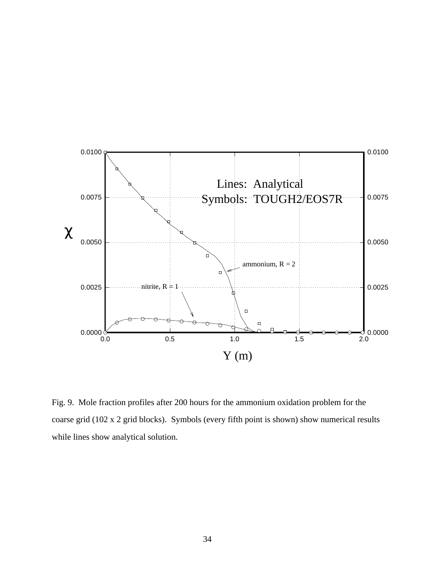

Fig. 9. Mole fraction profiles after 200 hours for the ammonium oxidation problem for the coarse grid (102 x 2 grid blocks). Symbols (every fifth point is shown) show numerical results while lines show analytical solution.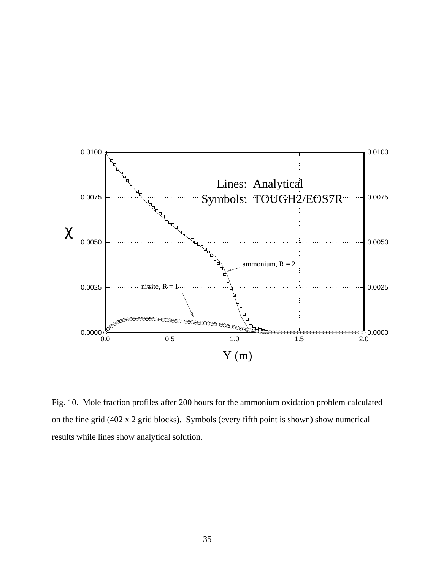

Fig. 10. Mole fraction profiles after 200 hours for the ammonium oxidation problem calculated on the fine grid (402 x 2 grid blocks). Symbols (every fifth point is shown) show numerical results while lines show analytical solution.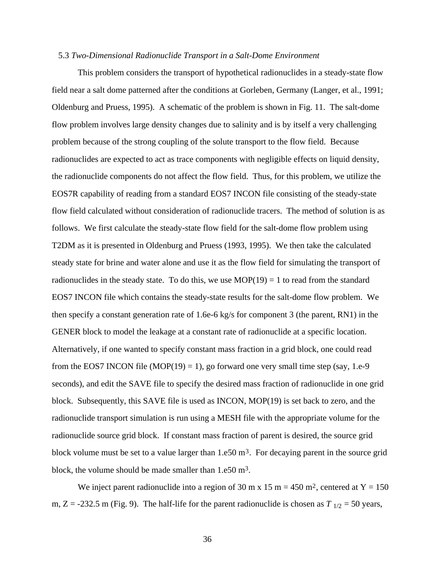### 5.3 *Two-Dimensional Radionuclide Transport in a Salt-Dome Environment*

This problem considers the transport of hypothetical radionuclides in a steady-state flow field near a salt dome patterned after the conditions at Gorleben, Germany (Langer, et al., 1991; Oldenburg and Pruess, 1995). A schematic of the problem is shown in Fig. 11. The salt-dome flow problem involves large density changes due to salinity and is by itself a very challenging problem because of the strong coupling of the solute transport to the flow field. Because radionuclides are expected to act as trace components with negligible effects on liquid density, the radionuclide components do not affect the flow field. Thus, for this problem, we utilize the EOS7R capability of reading from a standard EOS7 INCON file consisting of the steady-state flow field calculated without consideration of radionuclide tracers. The method of solution is as follows. We first calculate the steady-state flow field for the salt-dome flow problem using T2DM as it is presented in Oldenburg and Pruess (1993, 1995). We then take the calculated steady state for brine and water alone and use it as the flow field for simulating the transport of radionuclides in the steady state. To do this, we use  $MOP(19) = 1$  to read from the standard EOS7 INCON file which contains the steady-state results for the salt-dome flow problem. We then specify a constant generation rate of 1.6e-6 kg/s for component 3 (the parent, RN1) in the GENER block to model the leakage at a constant rate of radionuclide at a specific location. Alternatively, if one wanted to specify constant mass fraction in a grid block, one could read from the EOS7 INCON file  $(MOP(19) = 1)$ , go forward one very small time step (say, 1.e-9) seconds), and edit the SAVE file to specify the desired mass fraction of radionuclide in one grid block. Subsequently, this SAVE file is used as INCON, MOP(19) is set back to zero, and the radionuclide transport simulation is run using a MESH file with the appropriate volume for the radionuclide source grid block. If constant mass fraction of parent is desired, the source grid block volume must be set to a value larger than  $1.650 \text{ m}^3$ . For decaying parent in the source grid block, the volume should be made smaller than 1.e50 m3.

We inject parent radionuclide into a region of 30 m x 15 m = 450 m<sup>2</sup>, centered at  $Y = 150$ m,  $Z = -232.5$  m (Fig. 9). The half-life for the parent radionuclide is chosen as  $T_{1/2} = 50$  years,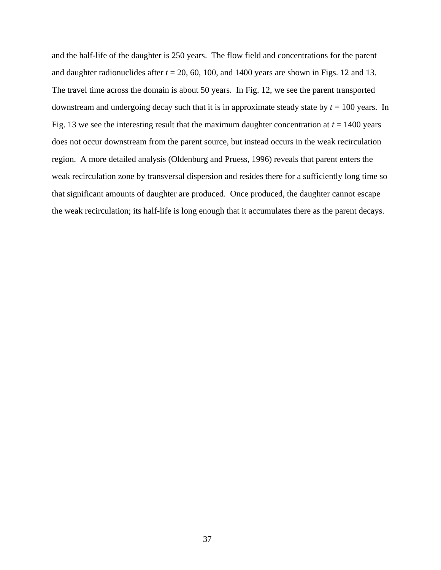and the half-life of the daughter is 250 years. The flow field and concentrations for the parent and daughter radionuclides after  $t = 20, 60, 100,$  and 1400 years are shown in Figs. 12 and 13. The travel time across the domain is about 50 years. In Fig. 12, we see the parent transported downstream and undergoing decay such that it is in approximate steady state by *t* = 100 years. In Fig. 13 we see the interesting result that the maximum daughter concentration at  $t = 1400$  years does not occur downstream from the parent source, but instead occurs in the weak recirculation region. A more detailed analysis (Oldenburg and Pruess, 1996) reveals that parent enters the weak recirculation zone by transversal dispersion and resides there for a sufficiently long time so that significant amounts of daughter are produced. Once produced, the daughter cannot escape the weak recirculation; its half-life is long enough that it accumulates there as the parent decays.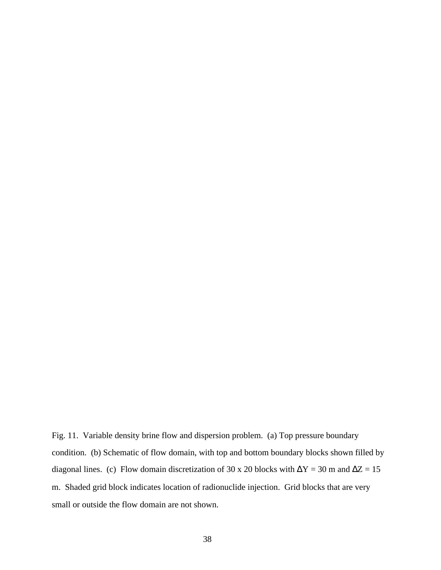Fig. 11. Variable density brine flow and dispersion problem. (a) Top pressure boundary condition. (b) Schematic of flow domain, with top and bottom boundary blocks shown filled by diagonal lines. (c) Flow domain discretization of 30 x 20 blocks with  $\Delta Y = 30$  m and  $\Delta Z = 15$ m. Shaded grid block indicates location of radionuclide injection. Grid blocks that are very small or outside the flow domain are not shown.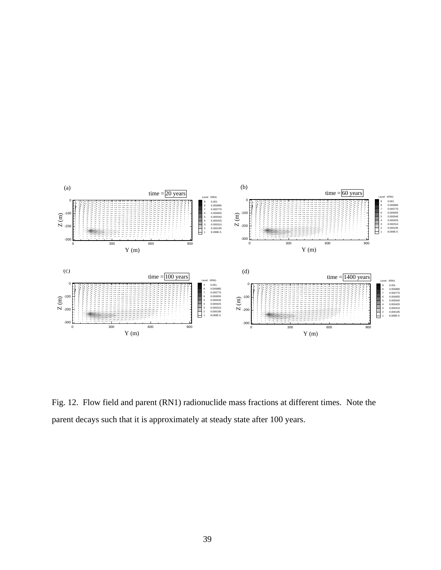

Fig. 12. Flow field and parent (RN1) radionuclide mass fractions at different times. Note the parent decays such that it is approximately at steady state after 100 years.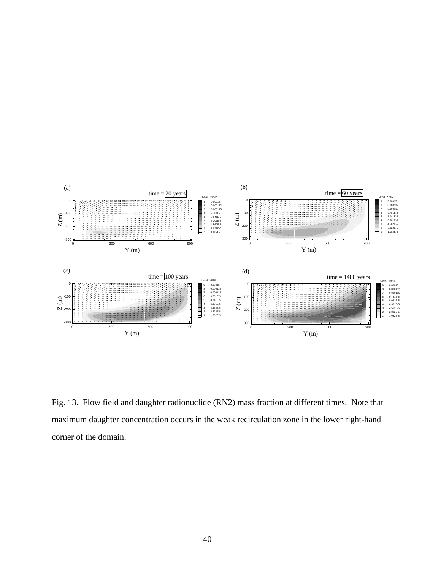

Fig. 13. Flow field and daughter radionuclide (RN2) mass fraction at different times. Note that maximum daughter concentration occurs in the weak recirculation zone in the lower right-hand corner of the domain.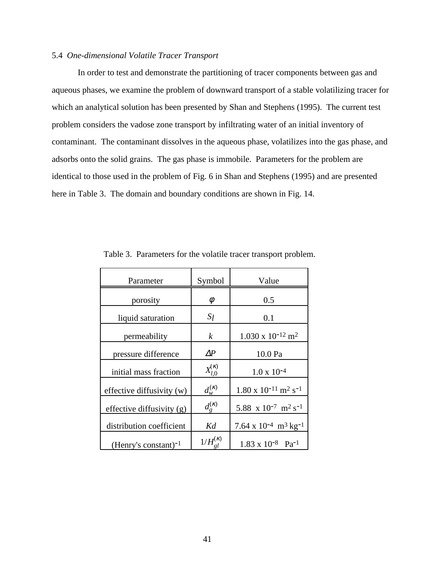# 5.4 *One-dimensional Volatile Tracer Transport*

In order to test and demonstrate the partitioning of tracer components between gas and aqueous phases, we examine the problem of downward transport of a stable volatilizing tracer for which an analytical solution has been presented by Shan and Stephens (1995). The current test problem considers the vadose zone transport by infiltrating water of an initial inventory of contaminant. The contaminant dissolves in the aqueous phase, volatilizes into the gas phase, and adsorbs onto the solid grains. The gas phase is immobile. Parameters for the problem are identical to those used in the problem of Fig. 6 in Shan and Stephens (1995) and are presented here in Table 3. The domain and boundary conditions are shown in Fig. 14.

| Parameter                   | Symbol               | Value                                                  |
|-----------------------------|----------------------|--------------------------------------------------------|
| porosity                    | φ                    | 0.5                                                    |
| liquid saturation           | $S_l$                | 0.1                                                    |
| permeability                | k                    | $1.030 \times 10^{-12}$ m <sup>2</sup>                 |
| pressure difference         | $\it\Delta\!P$       | 10.0 Pa                                                |
| initial mass fraction       | $X_{l,0}^{(\kappa)}$ | $1.0 \times 10^{-4}$                                   |
| effective diffusivity (w)   | $d_{w}^{(\kappa)}$   | $1.80 \times 10^{-11}$ m <sup>2</sup> s <sup>-1</sup>  |
| effective diffusivity $(g)$ | $d_{g}^{(\kappa)}$   | 5.88 x 10 <sup>-7</sup> m <sup>2</sup> s <sup>-1</sup> |
| distribution coefficient    | Kd                   | 7.64 x $10^{-4}$ m <sup>3</sup> kg <sup>-1</sup>       |
| (Henry's constant) $^{-1}$  | $1/H^{(K)}$          | $1.83 \times 10^{-8}$ Pa <sup>-1</sup>                 |

Table 3. Parameters for the volatile tracer transport problem.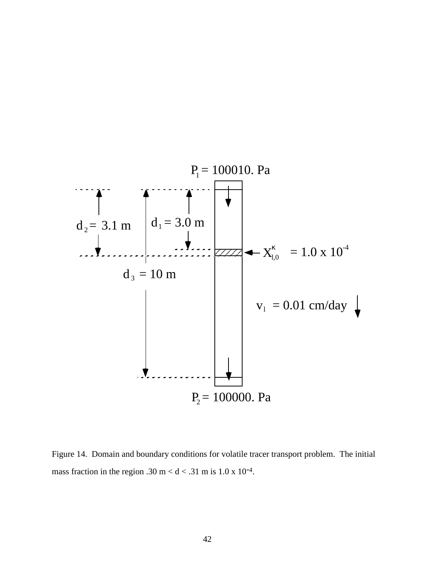

Figure 14. Domain and boundary conditions for volatile tracer transport problem. The initial mass fraction in the region .30 m <  $d$  < .31 m is 1.0 x 10<sup>-4</sup>.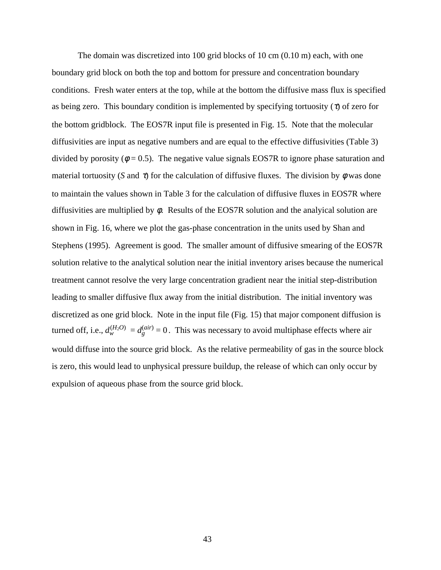The domain was discretized into 100 grid blocks of 10 cm (0.10 m) each, with one boundary grid block on both the top and bottom for pressure and concentration boundary conditions. Fresh water enters at the top, while at the bottom the diffusive mass flux is specified as being zero. This boundary condition is implemented by specifying tortuosity  $(\tau)$  of zero for the bottom gridblock. The EOS7R input file is presented in Fig. 15. Note that the molecular diffusivities are input as negative numbers and are equal to the effective diffusivities (Table 3) divided by porosity ( $\phi = 0.5$ ). The negative value signals EOS7R to ignore phase saturation and material tortuosity (*S* and  $\tau$ ) for the calculation of diffusive fluxes. The division by  $\phi$  was done to maintain the values shown in Table 3 for the calculation of diffusive fluxes in EOS7R where diffusivities are multiplied by  $\phi$ . Results of the EOS7R solution and the analyical solution are shown in Fig. 16, where we plot the gas-phase concentration in the units used by Shan and Stephens (1995). Agreement is good. The smaller amount of diffusive smearing of the EOS7R solution relative to the analytical solution near the initial inventory arises because the numerical treatment cannot resolve the very large concentration gradient near the initial step-distribution leading to smaller diffusive flux away from the initial distribution. The initial inventory was discretized as one grid block. Note in the input file (Fig. 15) that major component diffusion is turned off, i.e.,  $d_w^{(H_2O)} = d_g^{(air)} = 0$ . This was necessary to avoid multiphase effects where air would diffuse into the source grid block. As the relative permeability of gas in the source block is zero, this would lead to unphysical pressure buildup, the release of which can only occur by expulsion of aqueous phase from the source grid block.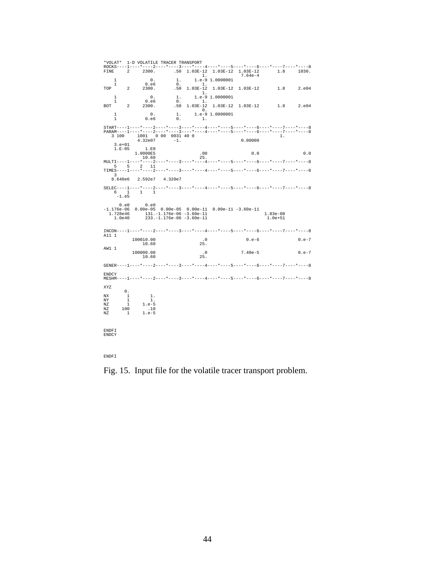\*VOLAT\* 1-D VOLATILE TRACER TRANSPORT ROCKS----1----\*----2----\*----3----\*----4----\*----5----\*----6----\*----7----\*----8<br>
FINE 2 2300. .50 1.03E-12 1.03E-12 1.03E-12 1.8 1030.<br>
1. 1.e-9 1.0000001 7.64e-4 1 0.e6 0. 1. TOP 2 2300. .50 1.03E-12 1.03E-12 1.03E-12 1.8 2.e04 1. 1 0. 1. 1.e-9 1.0000001 1 0.e6 0. 1. BOT 2 2300. .50 1.03E-12 1.03E-12 1.03E-12 1.8 2.e04 0. 1 0. 1. 1.e-9 1.0000001  $\begin{matrix} 1 \ 1 \ 0 \ 0 \ 0 \ 0 \end{matrix} \hspace{1cm} \begin{matrix} 1 \ 1 \ 0 \ 1 \end{matrix} \hspace{1.5cm} \begin{matrix} 1 \ 0 \ 1 \end{matrix} \hspace{1.5cm} \begin{matrix} 1 \ 0 \ 1 \end{matrix}$ START----1----\*----2----\*----3----\*----4-----\*----5----\*----6----\*----7----\*----8<br>PARAM----1-----4----2----\*----4-----+----5----+-----6----\*----7----\*-----8<br>3 100 1001 000 0031 40 0<br>4.32e07 -1. 0.00000  $3. e+01$ <br> $1. R-05$ 1.E-05 1.0000E5 .00 0.0<br>
10.000E5 .00 0.0<br>
MULTI----1----\*---2----\*----3----\*----4----\*----5----\*----6----\*----7----\*----8<br>
TIMES----1----\*----2----\*----3----\*----4----\*----5----\*-----6----\*----7----\*-----8<br>
3<br>
3 8.640e6 2.592e7 4.320e7 SELEC----1----\*----2----\*----3----\*----4----\*----5----\*----6----\*----7----\*----8 6 1 1 1 -1.e5 0.e0 0.e0 -1.176e-06 0.00e-05 0.00e-05 0.00e-11 0.00e-11 -3.60e-11 1.728e46 131.-1.176e-06 -3.60e-11 1.83e-08 1.0e40 233.-1.176e-06 -3.60e-11 1.0e+51 INCON----1----\*----2----\*----3----\*----4----\*----5----\*----6----\*----7----\*----8 A11 1 100010.00 .0 .0 0.e-6 0.e-7<br>10.60 25. AW1 1 100000.00 .0 7.40e-5 0.e-7 10.60 25. GENER----1----\*----2----\*----3----\*----4----\*----5----\*----6----\*----7----\*----8 ENDCY MESHM----1----\*----2----\*----3----\*----4----\*----5----\*----6----\*----7----\*----8 XYZ  $\begin{array}{ccc} \text{NX} & & 0 \, . \\ \text{NY} & & 1 \\ \text{NY} & & 1 \end{array}$ NX 1 1.<br>NZ 1 1.e-5<br>NZ 100 .10<br>NZ 1 1.e-5 ENDFI ENDCY

ENDFI

Fig. 15. Input file for the volatile tracer transport problem.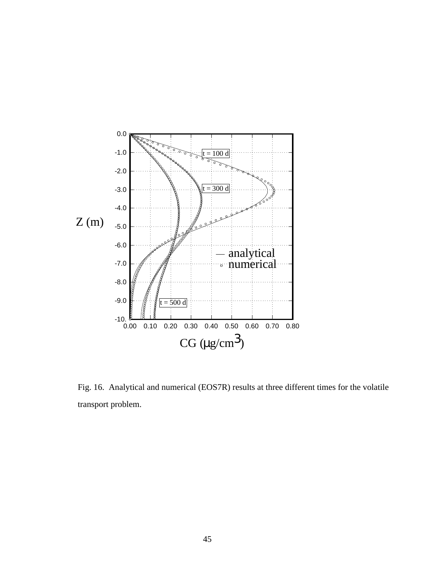

Fig. 16. Analytical and numerical (EOS7R) results at three different times for the volatile transport problem.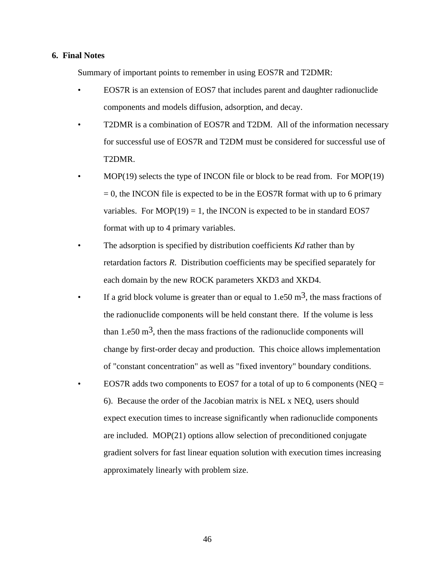# **6. Final Notes**

Summary of important points to remember in using EOS7R and T2DMR:

- EOS7R is an extension of EOS7 that includes parent and daughter radionuclide components and models diffusion, adsorption, and decay.
- T2DMR is a combination of EOS7R and T2DM. All of the information necessary for successful use of EOS7R and T2DM must be considered for successful use of T2DMR.
- MOP(19) selects the type of INCON file or block to be read from. For MOP(19)  $= 0$ , the INCON file is expected to be in the EOS7R format with up to 6 primary variables. For  $MOP(19) = 1$ , the INCON is expected to be in standard EOS7 format with up to 4 primary variables.
- The adsorption is specified by distribution coefficients *Kd* rather than by retardation factors *R*. Distribution coefficients may be specified separately for each domain by the new ROCK parameters XKD3 and XKD4.
- If a grid block volume is greater than or equal to  $1.650 \text{ m}^3$ , the mass fractions of the radionuclide components will be held constant there. If the volume is less than 1.e50  $\text{m}^3$ , then the mass fractions of the radionuclide components will change by first-order decay and production. This choice allows implementation of "constant concentration" as well as "fixed inventory" boundary conditions.
- EOS7R adds two components to EOS7 for a total of up to 6 components (NEQ  $=$ 6). Because the order of the Jacobian matrix is NEL x NEQ, users should expect execution times to increase significantly when radionuclide components are included. MOP(21) options allow selection of preconditioned conjugate gradient solvers for fast linear equation solution with execution times increasing approximately linearly with problem size.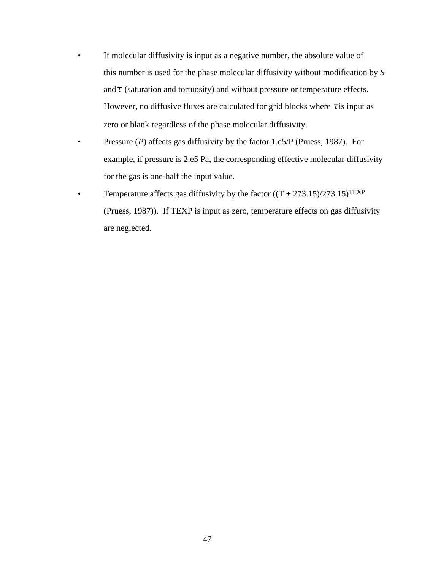- If molecular diffusivity is input as a negative number, the absolute value of this number is used for the phase molecular diffusivity without modification by *S*  and $\tau$  (saturation and tortuosity) and without pressure or temperature effects. However, no diffusive fluxes are calculated for grid blocks where  $\tau$  is input as zero or blank regardless of the phase molecular diffusivity.
- Pressure (*P*) affects gas diffusivity by the factor 1.e5/P (Pruess, 1987). For example, if pressure is 2.e5 Pa, the corresponding effective molecular diffusivity for the gas is one-half the input value.
- Temperature affects gas diffusivity by the factor  $((T + 273.15)/273.15)^{\text{TEXP}}$ (Pruess, 1987)). If TEXP is input as zero, temperature effects on gas diffusivity are neglected.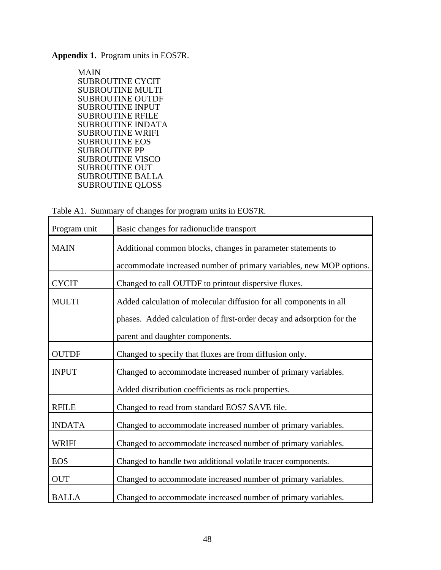**Appendix 1.** Program units in EOS7R.

MAIN SUBROUTINE CYCIT SUBROUTINE MULTI SUBROUTINE OUTDF SUBROUTINE INPUT SUBROUTINE RFILE SUBROUTINE INDATA SUBROUTINE WRIFI SUBROUTINE EOS SUBROUTINE PP SUBROUTINE VISCO SUBROUTINE OUT SUBROUTINE BALLA SUBROUTINE QLOSS

|  |  |  | Table A1. Summary of changes for program units in EOS7R. |  |  |
|--|--|--|----------------------------------------------------------|--|--|
|--|--|--|----------------------------------------------------------|--|--|

| Program unit  | Basic changes for radionuclide transport                              |
|---------------|-----------------------------------------------------------------------|
| <b>MAIN</b>   | Additional common blocks, changes in parameter statements to          |
|               | accommodate increased number of primary variables, new MOP options.   |
| <b>CYCIT</b>  | Changed to call OUTDF to printout dispersive fluxes.                  |
| <b>MULTI</b>  | Added calculation of molecular diffusion for all components in all    |
|               | phases. Added calculation of first-order decay and adsorption for the |
|               | parent and daughter components.                                       |
| <b>OUTDF</b>  | Changed to specify that fluxes are from diffusion only.               |
| <b>INPUT</b>  | Changed to accommodate increased number of primary variables.         |
|               | Added distribution coefficients as rock properties.                   |
| <b>RFILE</b>  | Changed to read from standard EOS7 SAVE file.                         |
| <b>INDATA</b> | Changed to accommodate increased number of primary variables.         |
| <b>WRIFI</b>  | Changed to accommodate increased number of primary variables.         |
| <b>EOS</b>    | Changed to handle two additional volatile tracer components.          |
| <b>OUT</b>    | Changed to accommodate increased number of primary variables.         |
| <b>BALLA</b>  | Changed to accommodate increased number of primary variables.         |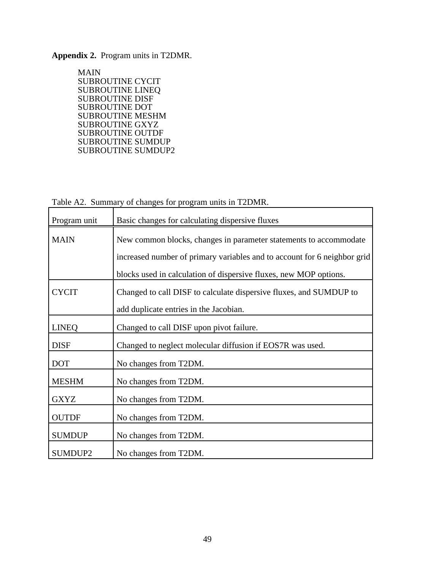# **Appendix 2.** Program units in T2DMR.

 MAIN SUBROUTINE CYCIT SUBROUTINE LINEQ SUBROUTINE DISF SUBROUTINE DOT SUBROUTINE MESHM SUBROUTINE GXYZ SUBROUTINE OUTDF SUBROUTINE SUMDUP SUBROUTINE SUMDUP2

Table A2. Summary of changes for program units in T2DMR.

| Program unit  | Basic changes for calculating dispersive fluxes                                                                                                                                                                    |
|---------------|--------------------------------------------------------------------------------------------------------------------------------------------------------------------------------------------------------------------|
| <b>MAIN</b>   | New common blocks, changes in parameter statements to accommodate<br>increased number of primary variables and to account for 6 neighbor grid<br>blocks used in calculation of dispersive fluxes, new MOP options. |
| <b>CYCIT</b>  | Changed to call DISF to calculate dispersive fluxes, and SUMDUP to<br>add duplicate entries in the Jacobian.                                                                                                       |
| <b>LINEQ</b>  | Changed to call DISF upon pivot failure.                                                                                                                                                                           |
| <b>DISF</b>   | Changed to neglect molecular diffusion if EOS7R was used.                                                                                                                                                          |
| <b>DOT</b>    | No changes from T2DM.                                                                                                                                                                                              |
| <b>MESHM</b>  | No changes from T2DM.                                                                                                                                                                                              |
| <b>GXYZ</b>   | No changes from T2DM.                                                                                                                                                                                              |
| <b>OUTDF</b>  | No changes from T2DM.                                                                                                                                                                                              |
| <b>SUMDUP</b> | No changes from T2DM.                                                                                                                                                                                              |
| SUMDUP2       | No changes from T2DM.                                                                                                                                                                                              |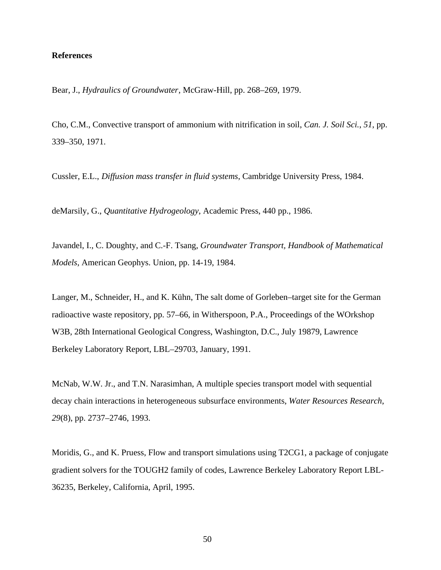# **References**

Bear, J., *Hydraulics of Groundwater*, McGraw-Hill, pp. 268–269, 1979.

Cho, C.M., Convective transport of ammonium with nitrification in soil, *Can. J. Soil Sci.*, *51*, pp. 339–350, 1971.

Cussler, E.L., *Diffusion mass transfer in fluid systems*, Cambridge University Press, 1984.

deMarsily, G., *Quantitative Hydrogeology*, Academic Press, 440 pp., 1986.

Javandel, I., C. Doughty, and C.-F. Tsang, *Groundwater Transport, Handbook of Mathematical Models*, American Geophys. Union, pp. 14-19, 1984.

Langer, M., Schneider, H., and K. Kühn, The salt dome of Gorleben–target site for the German radioactive waste repository, pp. 57–66, in Witherspoon, P.A., Proceedings of the WOrkshop W3B, 28th International Geological Congress, Washington, D.C., July 19879, Lawrence Berkeley Laboratory Report, LBL–29703, January, 1991.

McNab, W.W. Jr., and T.N. Narasimhan, A multiple species transport model with sequential decay chain interactions in heterogeneous subsurface environments, *Water Resources Research*, *29*(8), pp. 2737–2746, 1993.

Moridis, G., and K. Pruess, Flow and transport simulations using T2CG1, a package of conjugate gradient solvers for the TOUGH2 family of codes, Lawrence Berkeley Laboratory Report LBL-36235, Berkeley, California, April, 1995.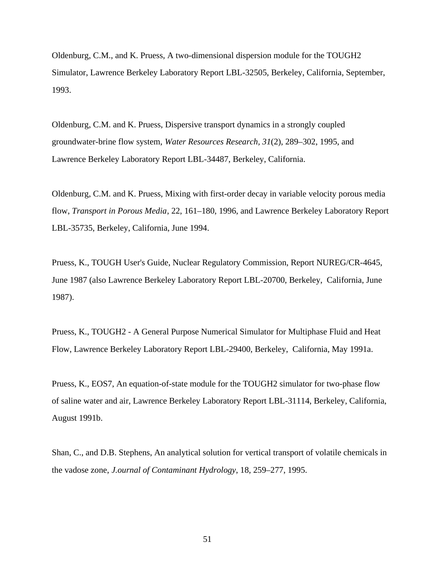Oldenburg, C.M., and K. Pruess, A two-dimensional dispersion module for the TOUGH2 Simulator, Lawrence Berkeley Laboratory Report LBL-32505, Berkeley, California, September, 1993.

Oldenburg, C.M. and K. Pruess, Dispersive transport dynamics in a strongly coupled groundwater-brine flow system, *Water Resources Research, 31*(2), 289–302, 1995, and Lawrence Berkeley Laboratory Report LBL-34487, Berkeley, California.

Oldenburg, C.M. and K. Pruess, Mixing with first-order decay in variable velocity porous media flow, *Transport in Porous Media*, 22, 161–180, 1996, and Lawrence Berkeley Laboratory Report LBL-35735, Berkeley, California, June 1994.

Pruess, K., TOUGH User's Guide, Nuclear Regulatory Commission, Report NUREG/CR-4645, June 1987 (also Lawrence Berkeley Laboratory Report LBL-20700, Berkeley, California, June 1987).

Pruess, K., TOUGH2 - A General Purpose Numerical Simulator for Multiphase Fluid and Heat Flow, Lawrence Berkeley Laboratory Report LBL-29400, Berkeley, California, May 1991a.

Pruess, K., EOS7, An equation-of-state module for the TOUGH2 simulator for two-phase flow of saline water and air, Lawrence Berkeley Laboratory Report LBL-31114, Berkeley, California, August 1991b.

Shan, C., and D.B. Stephens, An analytical solution for vertical transport of volatile chemicals in the vadose zone, *J.ournal of Contaminant Hydrology*, 18, 259–277, 1995.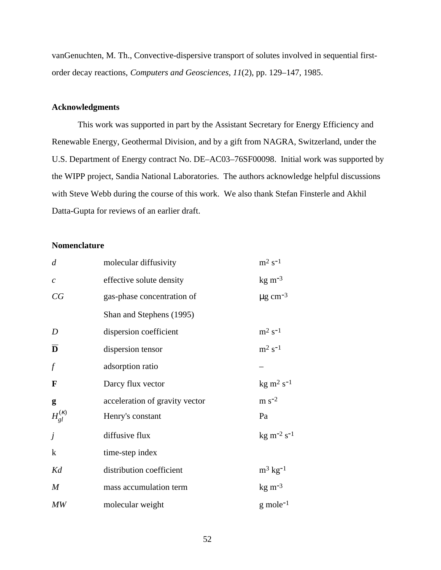vanGenuchten, M. Th., Convective-dispersive transport of solutes involved in sequential firstorder decay reactions, *Computers and Geosciences*, *11*(2), pp. 129–147, 1985.

# **Acknowledgments**

This work was supported in part by the Assistant Secretary for Energy Efficiency and Renewable Energy, Geothermal Division, and by a gift from NAGRA, Switzerland, under the U.S. Department of Energy contract No. DE–AC03–76SF00098. Initial work was supported by the WIPP project, Sandia National Laboratories. The authors acknowledge helpful discussions with Steve Webb during the course of this work. We also thank Stefan Finsterle and Akhil Datta-Gupta for reviews of an earlier draft.

# **Nomenclature**

| $\overline{d}$        | molecular diffusivity          | $\mathrm{m}^2$ s <sup>-1</sup>         |
|-----------------------|--------------------------------|----------------------------------------|
| $\mathcal{C}_{0}^{0}$ | effective solute density       | $\text{kg m}^{-3}$                     |
| CG                    | gas-phase concentration of     | $\mu$ g cm <sup>-3</sup>               |
|                       | Shan and Stephens (1995)       |                                        |
| D                     | dispersion coefficient         | $\mathrm{m}^2$ s <sup>-1</sup>         |
| D                     | dispersion tensor              | $m^2 s^{-1}$                           |
| $\int$                | adsorption ratio               |                                        |
| $\mathbf F$           | Darcy flux vector              | $\text{kg} \text{ m}^2 \text{ s}^{-1}$ |
| g                     | acceleration of gravity vector | $m s-2$                                |
| $H_{gl}^{(K)}$        | Henry's constant               | Pa                                     |
| j                     | diffusive flux                 | $kg \, \text{m}^{-2} \, \text{s}^{-1}$ |
| $\bf k$               | time-step index                |                                        |
| Kd                    | distribution coefficient       | $m^3$ kg <sup>-1</sup>                 |
| $\boldsymbol{M}$      | mass accumulation term         | $\text{kg m}^{-3}$                     |
| MW                    | molecular weight               | $g$ mole <sup>-1</sup>                 |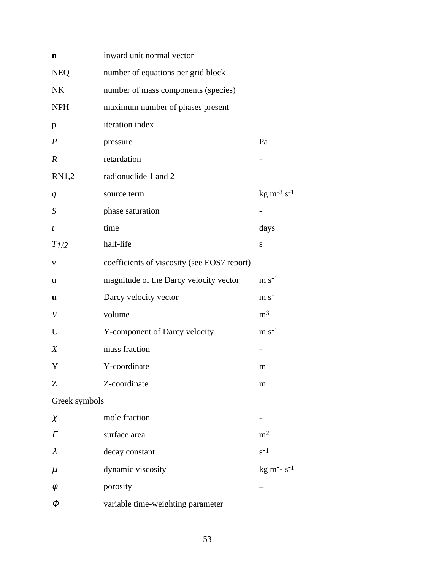| n                | inward unit normal vector                   |                                            |
|------------------|---------------------------------------------|--------------------------------------------|
| <b>NEQ</b>       | number of equations per grid block          |                                            |
| <b>NK</b>        | number of mass components (species)         |                                            |
| <b>NPH</b>       | maximum number of phases present            |                                            |
| p                | iteration index                             |                                            |
| $\boldsymbol{P}$ | pressure                                    | Pa                                         |
| $\boldsymbol{R}$ | retardation                                 |                                            |
| RN1,2            | radionuclide 1 and 2                        |                                            |
| q                | source term                                 | $kg m^{-3} s^{-1}$                         |
| S                | phase saturation                            |                                            |
| t                | time                                        | days                                       |
| $T_{1/2}$        | half-life                                   | S                                          |
| V                | coefficients of viscosity (see EOS7 report) |                                            |
| u                | magnitude of the Darcy velocity vector      | $\rm m~s^{-1}$                             |
| u                | Darcy velocity vector                       | $\rm m~s^{-1}$                             |
| V                | volume                                      | m <sup>3</sup>                             |
| U                | Y-component of Darcy velocity               | $m s-1$                                    |
| $\boldsymbol{X}$ | mass fraction                               |                                            |
| Y                | Y-coordinate                                | m                                          |
| Z                | Z-coordinate                                | m                                          |
| Greek symbols    |                                             |                                            |
| $\chi$           | mole fraction                               |                                            |
| $\Gamma$         | surface area                                | m <sup>2</sup>                             |
| $\lambda$        | decay constant                              | $s^{-1}$                                   |
| $\mu$            | dynamic viscosity                           | $kg \; \mathrm{m}^{-1} \; \mathrm{s}^{-1}$ |
| $\phi$           | porosity                                    |                                            |
| Φ                | variable time-weighting parameter           |                                            |